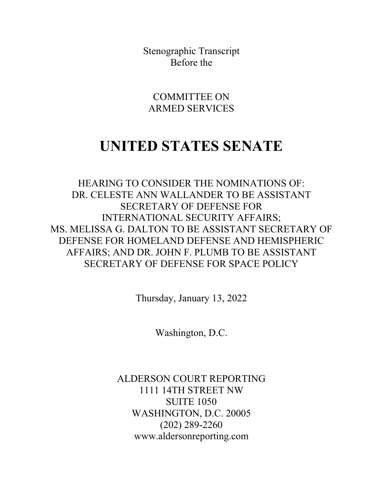Stenographic Transcript Before the

COMMITTEE ON ARMED SERVICES

## **UNITED STATES SENATE**

HEARING TO CONSIDER THE NOMINATIONS OF: DR. CELESTE ANN WALLANDER TO BE ASSISTANT SECRETARY OF DEFENSE FOR INTERNATIONAL SECURITY AFFAIRS; MS. MELISSA G. DALTON TO BE ASSISTANT SECRETARY OF DEFENSE FOR HOMELAND DEFENSE AND HEMISPHERIC AFFAIRS; AND DR. JOHN F. PLUMB TO BE ASSISTANT SECRETARY OF DEFENSE FOR SPACE POLICY

Thursday, January 13, 2022

Washington, D.C.

ALDERSON COURT REPORTING 1111 14TH STREET NW SUITE 1050 WASHINGTON, D.C. 20005 (202) 289-2260 www.aldersonreporting.com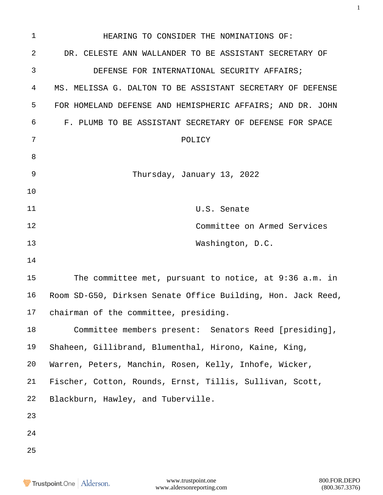| 1              | HEARING TO CONSIDER THE NOMINATIONS OF:                      |  |  |  |  |  |
|----------------|--------------------------------------------------------------|--|--|--|--|--|
| $\overline{2}$ | DR. CELESTE ANN WALLANDER TO BE ASSISTANT SECRETARY OF       |  |  |  |  |  |
| 3              | DEFENSE FOR INTERNATIONAL SECURITY AFFAIRS;                  |  |  |  |  |  |
| 4              | MS. MELISSA G. DALTON TO BE ASSISTANT SECRETARY OF DEFENSE   |  |  |  |  |  |
| 5              | FOR HOMELAND DEFENSE AND HEMISPHERIC AFFAIRS; AND DR. JOHN   |  |  |  |  |  |
| 6              | F. PLUMB TO BE ASSISTANT SECRETARY OF DEFENSE FOR SPACE      |  |  |  |  |  |
| 7              | POLICY                                                       |  |  |  |  |  |
| 8              |                                                              |  |  |  |  |  |
| 9              | Thursday, January 13, 2022                                   |  |  |  |  |  |
| 10             |                                                              |  |  |  |  |  |
| 11             | U.S. Senate                                                  |  |  |  |  |  |
| 12             | Committee on Armed Services                                  |  |  |  |  |  |
| 13             | Washington, D.C.                                             |  |  |  |  |  |
| 14             |                                                              |  |  |  |  |  |
| 15             | The committee met, pursuant to notice, at 9:36 a.m. in       |  |  |  |  |  |
| 16             | Room SD-G50, Dirksen Senate Office Building, Hon. Jack Reed, |  |  |  |  |  |
| 17             | chairman of the committee, presiding.                        |  |  |  |  |  |
| 18             | Committee members present: Senators Reed [presiding],        |  |  |  |  |  |
| 19             | Shaheen, Gillibrand, Blumenthal, Hirono, Kaine, King,        |  |  |  |  |  |
| 20             | Warren, Peters, Manchin, Rosen, Kelly, Inhofe, Wicker,       |  |  |  |  |  |
| 21             | Fischer, Cotton, Rounds, Ernst, Tillis, Sullivan, Scott,     |  |  |  |  |  |
| 22             | Blackburn, Hawley, and Tuberville.                           |  |  |  |  |  |
| 23             |                                                              |  |  |  |  |  |
| 24             |                                                              |  |  |  |  |  |
| 25             |                                                              |  |  |  |  |  |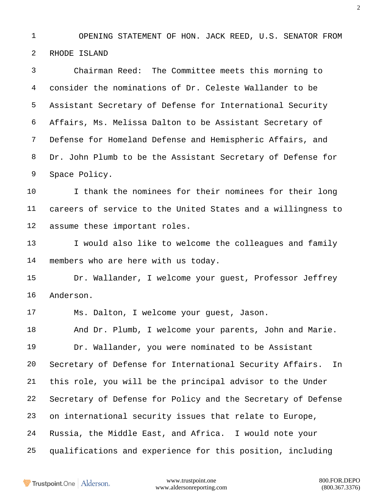OPENING STATEMENT OF HON. JACK REED, U.S. SENATOR FROM RHODE ISLAND

 Chairman Reed: The Committee meets this morning to consider the nominations of Dr. Celeste Wallander to be Assistant Secretary of Defense for International Security Affairs, Ms. Melissa Dalton to be Assistant Secretary of Defense for Homeland Defense and Hemispheric Affairs, and Dr. John Plumb to be the Assistant Secretary of Defense for Space Policy.

 I thank the nominees for their nominees for their long careers of service to the United States and a willingness to assume these important roles.

13 I would also like to welcome the colleagues and family members who are here with us today.

 Dr. Wallander, I welcome your guest, Professor Jeffrey Anderson.

Ms. Dalton, I welcome your guest, Jason.

 And Dr. Plumb, I welcome your parents, John and Marie. Dr. Wallander, you were nominated to be Assistant Secretary of Defense for International Security Affairs. In this role, you will be the principal advisor to the Under Secretary of Defense for Policy and the Secretary of Defense on international security issues that relate to Europe, Russia, the Middle East, and Africa. I would note your qualifications and experience for this position, including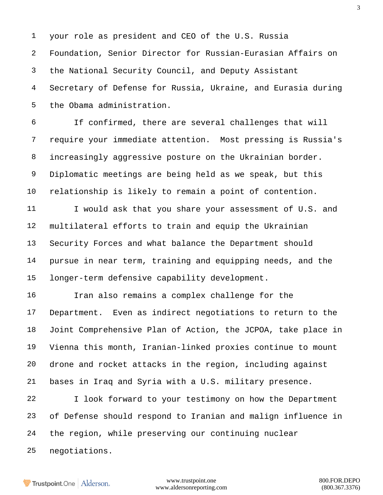your role as president and CEO of the U.S. Russia Foundation, Senior Director for Russian-Eurasian Affairs on the National Security Council, and Deputy Assistant Secretary of Defense for Russia, Ukraine, and Eurasia during the Obama administration.

 If confirmed, there are several challenges that will require your immediate attention. Most pressing is Russia's increasingly aggressive posture on the Ukrainian border. Diplomatic meetings are being held as we speak, but this relationship is likely to remain a point of contention.

11 I would ask that you share your assessment of U.S. and multilateral efforts to train and equip the Ukrainian Security Forces and what balance the Department should pursue in near term, training and equipping needs, and the longer-term defensive capability development.

 Iran also remains a complex challenge for the Department. Even as indirect negotiations to return to the Joint Comprehensive Plan of Action, the JCPOA, take place in Vienna this month, Iranian-linked proxies continue to mount drone and rocket attacks in the region, including against bases in Iraq and Syria with a U.S. military presence.

 I look forward to your testimony on how the Department of Defense should respond to Iranian and malign influence in the region, while preserving our continuing nuclear negotiations.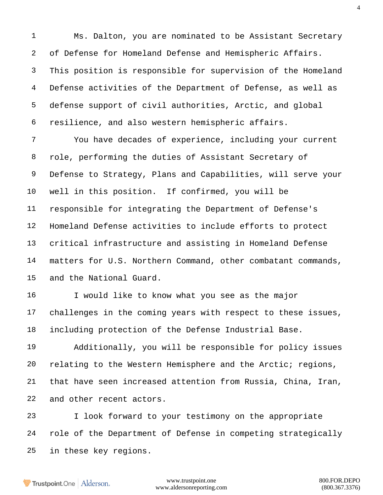Ms. Dalton, you are nominated to be Assistant Secretary of Defense for Homeland Defense and Hemispheric Affairs. This position is responsible for supervision of the Homeland Defense activities of the Department of Defense, as well as defense support of civil authorities, Arctic, and global resilience, and also western hemispheric affairs.

 You have decades of experience, including your current role, performing the duties of Assistant Secretary of Defense to Strategy, Plans and Capabilities, will serve your well in this position. If confirmed, you will be responsible for integrating the Department of Defense's Homeland Defense activities to include efforts to protect critical infrastructure and assisting in Homeland Defense matters for U.S. Northern Command, other combatant commands, and the National Guard.

 I would like to know what you see as the major challenges in the coming years with respect to these issues, including protection of the Defense Industrial Base.

 Additionally, you will be responsible for policy issues relating to the Western Hemisphere and the Arctic; regions, that have seen increased attention from Russia, China, Iran, and other recent actors.

 I look forward to your testimony on the appropriate role of the Department of Defense in competing strategically in these key regions.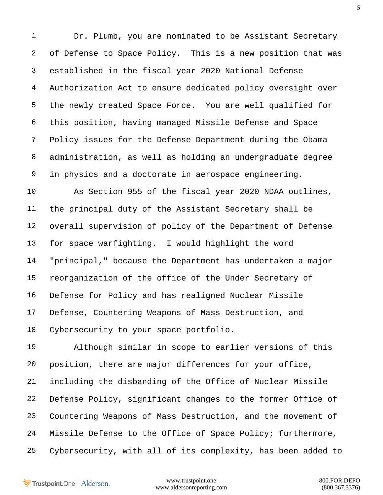1 Dr. Plumb, you are nominated to be Assistant Secretary of Defense to Space Policy. This is a new position that was established in the fiscal year 2020 National Defense Authorization Act to ensure dedicated policy oversight over the newly created Space Force. You are well qualified for this position, having managed Missile Defense and Space Policy issues for the Defense Department during the Obama administration, as well as holding an undergraduate degree in physics and a doctorate in aerospace engineering.

 As Section 955 of the fiscal year 2020 NDAA outlines, the principal duty of the Assistant Secretary shall be overall supervision of policy of the Department of Defense for space warfighting. I would highlight the word "principal," because the Department has undertaken a major reorganization of the office of the Under Secretary of Defense for Policy and has realigned Nuclear Missile Defense, Countering Weapons of Mass Destruction, and Cybersecurity to your space portfolio.

 Although similar in scope to earlier versions of this position, there are major differences for your office, including the disbanding of the Office of Nuclear Missile Defense Policy, significant changes to the former Office of Countering Weapons of Mass Destruction, and the movement of Missile Defense to the Office of Space Policy; furthermore, Cybersecurity, with all of its complexity, has been added to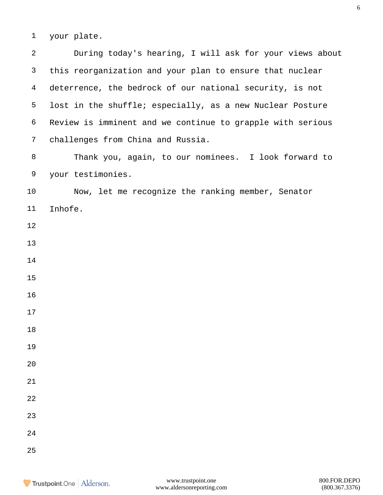your plate.

| $\overline{2}$ | During today's hearing, I will ask for your views about    |
|----------------|------------------------------------------------------------|
| 3              | this reorganization and your plan to ensure that nuclear   |
| $\overline{4}$ | deterrence, the bedrock of our national security, is not   |
| 5              | lost in the shuffle; especially, as a new Nuclear Posture  |
| 6              | Review is imminent and we continue to grapple with serious |
| $\overline{7}$ | challenges from China and Russia.                          |
| 8              | Thank you, again, to our nominees. I look forward to       |
| 9              | your testimonies.                                          |
| 10             | Now, let me recognize the ranking member, Senator          |
| 11             | Inhofe.                                                    |
| 12             |                                                            |
| 13             |                                                            |
| 14             |                                                            |
| 15             |                                                            |
| 16             |                                                            |
| 17             |                                                            |
| $18\,$         |                                                            |
| 19             |                                                            |
| 20             |                                                            |
| 21             |                                                            |
| 22             |                                                            |
| 23             |                                                            |
| 24             |                                                            |
| 25             |                                                            |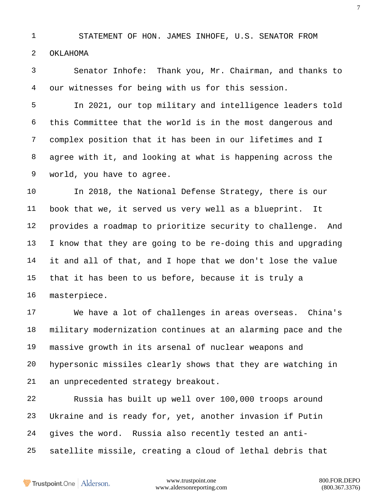STATEMENT OF HON. JAMES INHOFE, U.S. SENATOR FROM OKLAHOMA

 Senator Inhofe: Thank you, Mr. Chairman, and thanks to our witnesses for being with us for this session.

 In 2021, our top military and intelligence leaders told this Committee that the world is in the most dangerous and complex position that it has been in our lifetimes and I agree with it, and looking at what is happening across the world, you have to agree.

 In 2018, the National Defense Strategy, there is our book that we, it served us very well as a blueprint. It provides a roadmap to prioritize security to challenge. And I know that they are going to be re-doing this and upgrading it and all of that, and I hope that we don't lose the value that it has been to us before, because it is truly a masterpiece.

 We have a lot of challenges in areas overseas. China's military modernization continues at an alarming pace and the massive growth in its arsenal of nuclear weapons and hypersonic missiles clearly shows that they are watching in an unprecedented strategy breakout.

 Russia has built up well over 100,000 troops around Ukraine and is ready for, yet, another invasion if Putin gives the word. Russia also recently tested an anti-satellite missile, creating a cloud of lethal debris that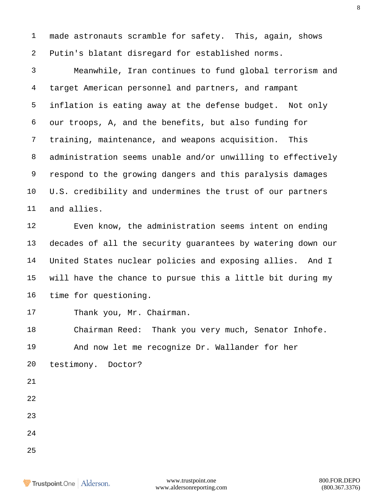made astronauts scramble for safety. This, again, shows Putin's blatant disregard for established norms.

 Meanwhile, Iran continues to fund global terrorism and target American personnel and partners, and rampant inflation is eating away at the defense budget. Not only our troops, A, and the benefits, but also funding for training, maintenance, and weapons acquisition. This administration seems unable and/or unwilling to effectively respond to the growing dangers and this paralysis damages U.S. credibility and undermines the trust of our partners and allies.

 Even know, the administration seems intent on ending decades of all the security guarantees by watering down our United States nuclear policies and exposing allies. And I will have the chance to pursue this a little bit during my time for questioning.

Thank you, Mr. Chairman.

 Chairman Reed: Thank you very much, Senator Inhofe. And now let me recognize Dr. Wallander for her

- testimony. Doctor?
- 
- 
- 
- 
- 
-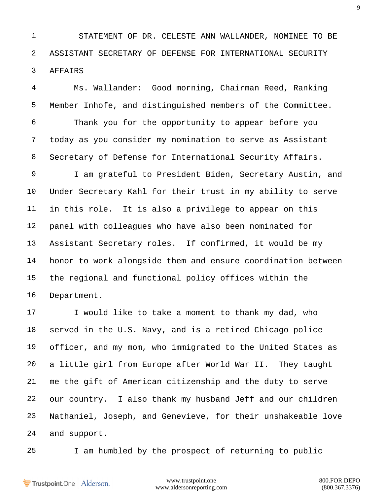STATEMENT OF DR. CELESTE ANN WALLANDER, NOMINEE TO BE ASSISTANT SECRETARY OF DEFENSE FOR INTERNATIONAL SECURITY AFFAIRS

 Ms. Wallander: Good morning, Chairman Reed, Ranking Member Inhofe, and distinguished members of the Committee. Thank you for the opportunity to appear before you today as you consider my nomination to serve as Assistant Secretary of Defense for International Security Affairs. I am grateful to President Biden, Secretary Austin, and Under Secretary Kahl for their trust in my ability to serve in this role. It is also a privilege to appear on this panel with colleagues who have also been nominated for Assistant Secretary roles. If confirmed, it would be my honor to work alongside them and ensure coordination between the regional and functional policy offices within the Department.

17 I would like to take a moment to thank my dad, who served in the U.S. Navy, and is a retired Chicago police officer, and my mom, who immigrated to the United States as a little girl from Europe after World War II. They taught me the gift of American citizenship and the duty to serve our country. I also thank my husband Jeff and our children Nathaniel, Joseph, and Genevieve, for their unshakeable love and support.

I am humbled by the prospect of returning to public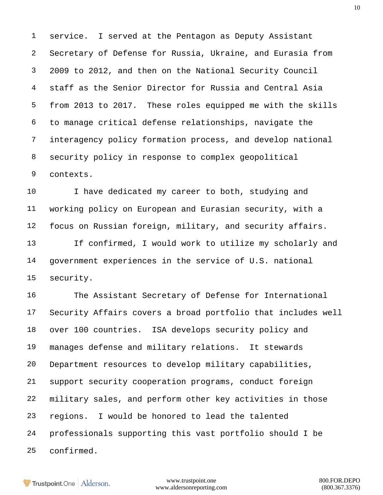service. I served at the Pentagon as Deputy Assistant Secretary of Defense for Russia, Ukraine, and Eurasia from 2009 to 2012, and then on the National Security Council staff as the Senior Director for Russia and Central Asia from 2013 to 2017. These roles equipped me with the skills to manage critical defense relationships, navigate the interagency policy formation process, and develop national security policy in response to complex geopolitical contexts.

10 I have dedicated my career to both, studying and working policy on European and Eurasian security, with a focus on Russian foreign, military, and security affairs. If confirmed, I would work to utilize my scholarly and

 government experiences in the service of U.S. national security.

 The Assistant Secretary of Defense for International Security Affairs covers a broad portfolio that includes well over 100 countries. ISA develops security policy and manages defense and military relations. It stewards Department resources to develop military capabilities, support security cooperation programs, conduct foreign military sales, and perform other key activities in those regions. I would be honored to lead the talented professionals supporting this vast portfolio should I be confirmed.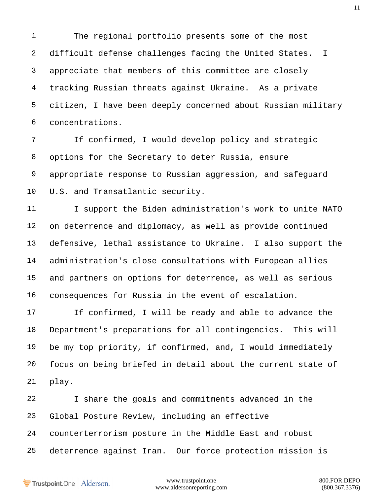The regional portfolio presents some of the most difficult defense challenges facing the United States. I appreciate that members of this committee are closely tracking Russian threats against Ukraine. As a private citizen, I have been deeply concerned about Russian military concentrations.

 If confirmed, I would develop policy and strategic options for the Secretary to deter Russia, ensure appropriate response to Russian aggression, and safeguard U.S. and Transatlantic security.

11 I support the Biden administration's work to unite NATO on deterrence and diplomacy, as well as provide continued defensive, lethal assistance to Ukraine. I also support the administration's close consultations with European allies and partners on options for deterrence, as well as serious consequences for Russia in the event of escalation.

 If confirmed, I will be ready and able to advance the Department's preparations for all contingencies. This will be my top priority, if confirmed, and, I would immediately focus on being briefed in detail about the current state of play.

 I share the goals and commitments advanced in the Global Posture Review, including an effective counterterrorism posture in the Middle East and robust deterrence against Iran. Our force protection mission is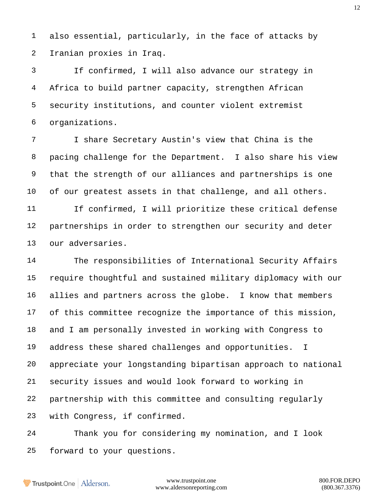also essential, particularly, in the face of attacks by Iranian proxies in Iraq.

 If confirmed, I will also advance our strategy in Africa to build partner capacity, strengthen African security institutions, and counter violent extremist organizations.

 I share Secretary Austin's view that China is the pacing challenge for the Department. I also share his view that the strength of our alliances and partnerships is one of our greatest assets in that challenge, and all others.

 If confirmed, I will prioritize these critical defense partnerships in order to strengthen our security and deter our adversaries.

 The responsibilities of International Security Affairs require thoughtful and sustained military diplomacy with our allies and partners across the globe. I know that members of this committee recognize the importance of this mission, and I am personally invested in working with Congress to address these shared challenges and opportunities. I appreciate your longstanding bipartisan approach to national security issues and would look forward to working in partnership with this committee and consulting regularly with Congress, if confirmed.

 Thank you for considering my nomination, and I look forward to your questions.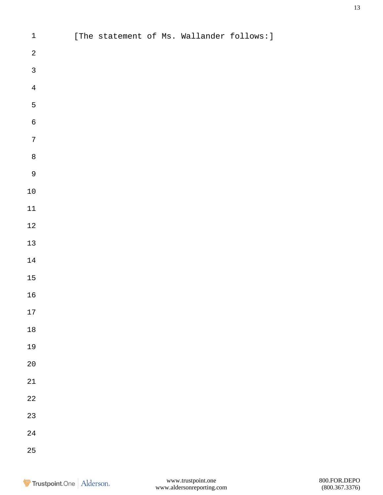| $\mathbf 1$      |  |  | [The statement of Ms. Wallander follows:] |  |
|------------------|--|--|-------------------------------------------|--|
| $\sqrt{2}$       |  |  |                                           |  |
| $\overline{3}$   |  |  |                                           |  |
| $\overline{4}$   |  |  |                                           |  |
| 5                |  |  |                                           |  |
| $\boldsymbol{6}$ |  |  |                                           |  |
| $\overline{7}$   |  |  |                                           |  |
| $\bf{8}$         |  |  |                                           |  |
| $\overline{9}$   |  |  |                                           |  |
| $1\,0$           |  |  |                                           |  |
| $11\,$           |  |  |                                           |  |
| $1\sqrt{2}$      |  |  |                                           |  |
| $13$             |  |  |                                           |  |
| $14\,$           |  |  |                                           |  |
| 15               |  |  |                                           |  |
| $16$             |  |  |                                           |  |
| $17\,$           |  |  |                                           |  |
| $1\,8$           |  |  |                                           |  |
| 19               |  |  |                                           |  |
| $2\,0$           |  |  |                                           |  |
| 21               |  |  |                                           |  |
| $2\sqrt{2}$      |  |  |                                           |  |
| 23               |  |  |                                           |  |
| $2\sqrt{4}$      |  |  |                                           |  |
| 25               |  |  |                                           |  |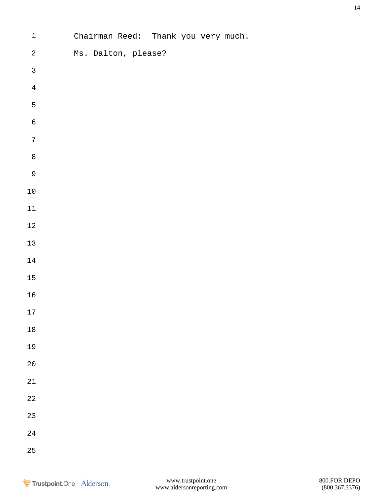| $\mathbf 1$  | Chairman Reed: Thank you very much. |
|--------------|-------------------------------------|
| $\sqrt{2}$   | Ms. Dalton, please?                 |
| $\mathbf{3}$ |                                     |
| $\bf 4$      |                                     |
| 5            |                                     |
| $\sqrt{6}$   |                                     |
| $\sqrt{ }$   |                                     |
| $\,8\,$      |                                     |
| $\mathsf 9$  |                                     |
| $1\,0$       |                                     |
| $11\,$       |                                     |
| $1\sqrt{2}$  |                                     |
| $13\,$       |                                     |
| $14\,$       |                                     |
| $15\,$       |                                     |
| $16$         |                                     |
| 17           |                                     |
| $1\,8$       |                                     |
| 19           |                                     |
| $2\,0$       |                                     |
| $2\sqrt{1}$  |                                     |
| $2\sqrt{2}$  |                                     |
| $2\sqrt{3}$  |                                     |
| $2\sqrt{4}$  |                                     |
| 25           |                                     |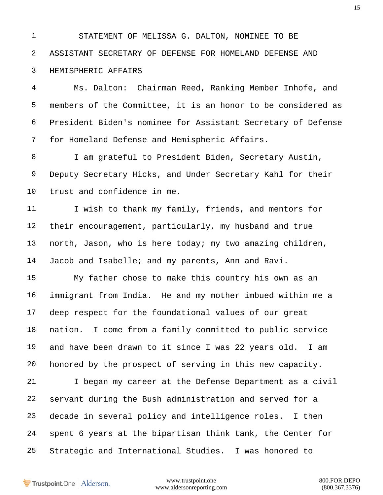STATEMENT OF MELISSA G. DALTON, NOMINEE TO BE ASSISTANT SECRETARY OF DEFENSE FOR HOMELAND DEFENSE AND HEMISPHERIC AFFAIRS

 Ms. Dalton: Chairman Reed, Ranking Member Inhofe, and members of the Committee, it is an honor to be considered as President Biden's nominee for Assistant Secretary of Defense for Homeland Defense and Hemispheric Affairs.

 I am grateful to President Biden, Secretary Austin, Deputy Secretary Hicks, and Under Secretary Kahl for their trust and confidence in me.

11 I wish to thank my family, friends, and mentors for their encouragement, particularly, my husband and true north, Jason, who is here today; my two amazing children, Jacob and Isabelle; and my parents, Ann and Ravi.

 My father chose to make this country his own as an immigrant from India. He and my mother imbued within me a deep respect for the foundational values of our great nation. I come from a family committed to public service and have been drawn to it since I was 22 years old. I am honored by the prospect of serving in this new capacity.

 I began my career at the Defense Department as a civil servant during the Bush administration and served for a decade in several policy and intelligence roles. I then spent 6 years at the bipartisan think tank, the Center for Strategic and International Studies. I was honored to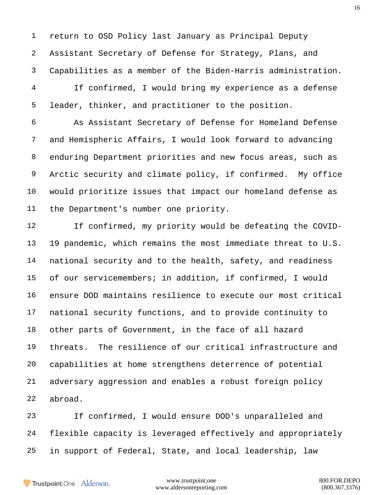return to OSD Policy last January as Principal Deputy Assistant Secretary of Defense for Strategy, Plans, and Capabilities as a member of the Biden-Harris administration.

 If confirmed, I would bring my experience as a defense leader, thinker, and practitioner to the position.

 As Assistant Secretary of Defense for Homeland Defense and Hemispheric Affairs, I would look forward to advancing enduring Department priorities and new focus areas, such as Arctic security and climate policy, if confirmed. My office would prioritize issues that impact our homeland defense as the Department's number one priority.

 If confirmed, my priority would be defeating the COVID- 19 pandemic, which remains the most immediate threat to U.S. national security and to the health, safety, and readiness of our servicemembers; in addition, if confirmed, I would ensure DOD maintains resilience to execute our most critical national security functions, and to provide continuity to other parts of Government, in the face of all hazard threats. The resilience of our critical infrastructure and capabilities at home strengthens deterrence of potential adversary aggression and enables a robust foreign policy abroad.

 If confirmed, I would ensure DOD's unparalleled and flexible capacity is leveraged effectively and appropriately in support of Federal, State, and local leadership, law

Trustpoint.One Alderson.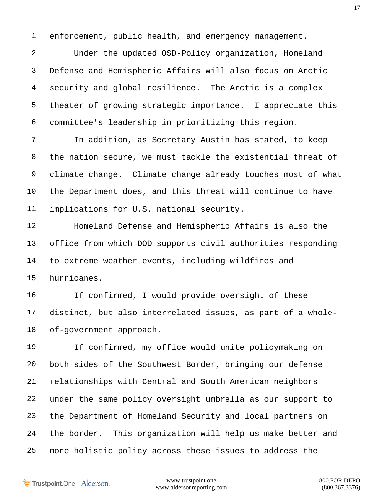enforcement, public health, and emergency management.

 Under the updated OSD-Policy organization, Homeland Defense and Hemispheric Affairs will also focus on Arctic security and global resilience. The Arctic is a complex theater of growing strategic importance. I appreciate this committee's leadership in prioritizing this region.

 In addition, as Secretary Austin has stated, to keep the nation secure, we must tackle the existential threat of climate change. Climate change already touches most of what the Department does, and this threat will continue to have implications for U.S. national security.

 Homeland Defense and Hemispheric Affairs is also the office from which DOD supports civil authorities responding to extreme weather events, including wildfires and hurricanes.

 If confirmed, I would provide oversight of these distinct, but also interrelated issues, as part of a whole-of-government approach.

 If confirmed, my office would unite policymaking on both sides of the Southwest Border, bringing our defense relationships with Central and South American neighbors under the same policy oversight umbrella as our support to the Department of Homeland Security and local partners on the border. This organization will help us make better and more holistic policy across these issues to address the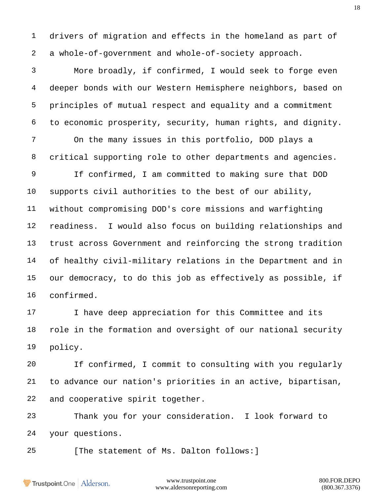drivers of migration and effects in the homeland as part of a whole-of-government and whole-of-society approach.

 More broadly, if confirmed, I would seek to forge even deeper bonds with our Western Hemisphere neighbors, based on principles of mutual respect and equality and a commitment to economic prosperity, security, human rights, and dignity. On the many issues in this portfolio, DOD plays a critical supporting role to other departments and agencies. If confirmed, I am committed to making sure that DOD supports civil authorities to the best of our ability, without compromising DOD's core missions and warfighting readiness. I would also focus on building relationships and trust across Government and reinforcing the strong tradition of healthy civil-military relations in the Department and in our democracy, to do this job as effectively as possible, if confirmed.

17 I have deep appreciation for this Committee and its role in the formation and oversight of our national security policy.

 If confirmed, I commit to consulting with you regularly to advance our nation's priorities in an active, bipartisan, and cooperative spirit together.

 Thank you for your consideration. I look forward to your questions.

25 [The statement of Ms. Dalton follows: ]

Trustpoint.One Alderson.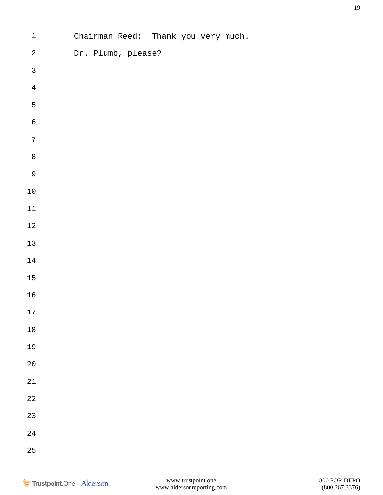| $\mathbf 1$  | Chairman Reed: Thank you very much. |
|--------------|-------------------------------------|
| $\sqrt{2}$   | Dr. Plumb, please?                  |
| $\mathbf{3}$ |                                     |
| $\bf 4$      |                                     |
| 5            |                                     |
| $\sqrt{6}$   |                                     |
| $\sqrt{ }$   |                                     |
| $\,8\,$      |                                     |
| $\mathsf 9$  |                                     |
| $1\,0$       |                                     |
| $11\,$       |                                     |
| $1\sqrt{2}$  |                                     |
| $13\,$       |                                     |
| $14\,$       |                                     |
| $15\,$       |                                     |
| $16\,$       |                                     |
| 17           |                                     |
| $1\,8$       |                                     |
| 19           |                                     |
| $2\,0$       |                                     |
| $2\sqrt{1}$  |                                     |
| $2\sqrt{2}$  |                                     |
| $23\,$       |                                     |
| $2\sqrt{4}$  |                                     |
| 25           |                                     |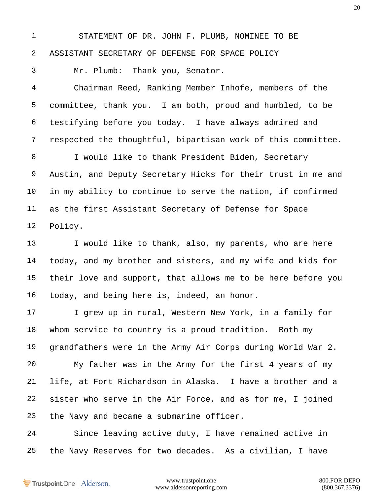STATEMENT OF DR. JOHN F. PLUMB, NOMINEE TO BE ASSISTANT SECRETARY OF DEFENSE FOR SPACE POLICY

Mr. Plumb: Thank you, Senator.

 Chairman Reed, Ranking Member Inhofe, members of the committee, thank you. I am both, proud and humbled, to be testifying before you today. I have always admired and respected the thoughtful, bipartisan work of this committee.

 I would like to thank President Biden, Secretary Austin, and Deputy Secretary Hicks for their trust in me and in my ability to continue to serve the nation, if confirmed as the first Assistant Secretary of Defense for Space Policy.

 I would like to thank, also, my parents, who are here today, and my brother and sisters, and my wife and kids for their love and support, that allows me to be here before you today, and being here is, indeed, an honor.

17 I grew up in rural, Western New York, in a family for whom service to country is a proud tradition. Both my grandfathers were in the Army Air Corps during World War 2. My father was in the Army for the first 4 years of my life, at Fort Richardson in Alaska. I have a brother and a sister who serve in the Air Force, and as for me, I joined the Navy and became a submarine officer.

 Since leaving active duty, I have remained active in the Navy Reserves for two decades. As a civilian, I have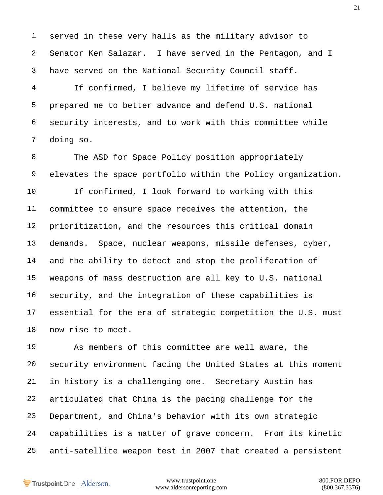served in these very halls as the military advisor to Senator Ken Salazar. I have served in the Pentagon, and I have served on the National Security Council staff.

 If confirmed, I believe my lifetime of service has prepared me to better advance and defend U.S. national security interests, and to work with this committee while doing so.

8 The ASD for Space Policy position appropriately elevates the space portfolio within the Policy organization. If confirmed, I look forward to working with this committee to ensure space receives the attention, the prioritization, and the resources this critical domain demands. Space, nuclear weapons, missile defenses, cyber, and the ability to detect and stop the proliferation of weapons of mass destruction are all key to U.S. national security, and the integration of these capabilities is essential for the era of strategic competition the U.S. must now rise to meet.

 As members of this committee are well aware, the security environment facing the United States at this moment in history is a challenging one. Secretary Austin has articulated that China is the pacing challenge for the Department, and China's behavior with its own strategic capabilities is a matter of grave concern. From its kinetic anti-satellite weapon test in 2007 that created a persistent

Trustpoint.One Alderson.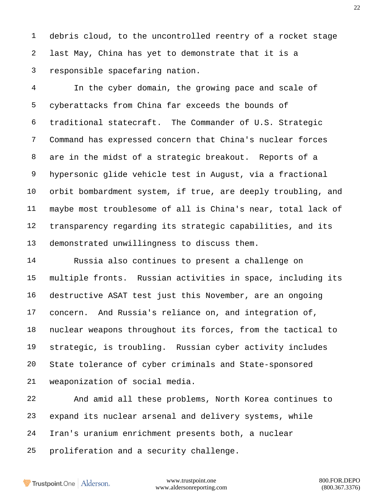debris cloud, to the uncontrolled reentry of a rocket stage last May, China has yet to demonstrate that it is a responsible spacefaring nation.

 In the cyber domain, the growing pace and scale of cyberattacks from China far exceeds the bounds of traditional statecraft. The Commander of U.S. Strategic Command has expressed concern that China's nuclear forces are in the midst of a strategic breakout. Reports of a hypersonic glide vehicle test in August, via a fractional orbit bombardment system, if true, are deeply troubling, and maybe most troublesome of all is China's near, total lack of transparency regarding its strategic capabilities, and its demonstrated unwillingness to discuss them.

 Russia also continues to present a challenge on multiple fronts. Russian activities in space, including its destructive ASAT test just this November, are an ongoing concern. And Russia's reliance on, and integration of, nuclear weapons throughout its forces, from the tactical to strategic, is troubling. Russian cyber activity includes State tolerance of cyber criminals and State-sponsored weaponization of social media.

 And amid all these problems, North Korea continues to expand its nuclear arsenal and delivery systems, while Iran's uranium enrichment presents both, a nuclear proliferation and a security challenge.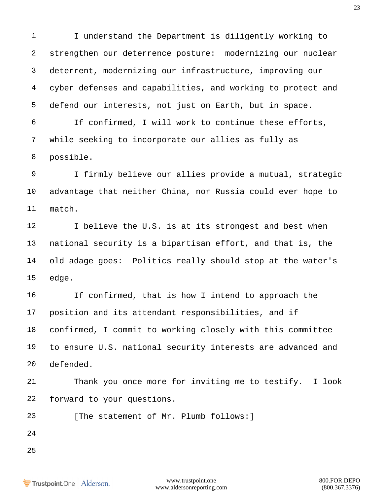I understand the Department is diligently working to strengthen our deterrence posture: modernizing our nuclear deterrent, modernizing our infrastructure, improving our cyber defenses and capabilities, and working to protect and defend our interests, not just on Earth, but in space.

 If confirmed, I will work to continue these efforts, while seeking to incorporate our allies as fully as possible.

 I firmly believe our allies provide a mutual, strategic advantage that neither China, nor Russia could ever hope to match.

12 I believe the U.S. is at its strongest and best when national security is a bipartisan effort, and that is, the old adage goes: Politics really should stop at the water's edge.

 If confirmed, that is how I intend to approach the position and its attendant responsibilities, and if confirmed, I commit to working closely with this committee to ensure U.S. national security interests are advanced and defended.

 Thank you once more for inviting me to testify. I look forward to your questions.

23 [The statement of Mr. Plumb follows: ]

- 
-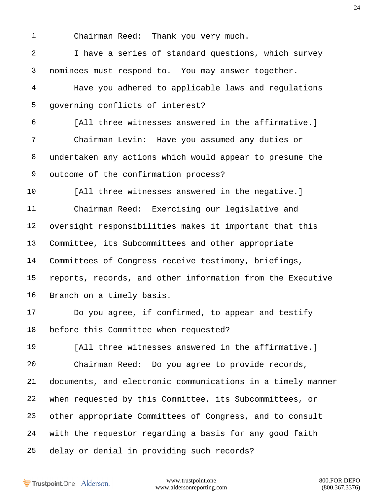Chairman Reed: Thank you very much.

 I have a series of standard questions, which survey nominees must respond to. You may answer together.

 Have you adhered to applicable laws and regulations governing conflicts of interest?

 [All three witnesses answered in the affirmative.] Chairman Levin: Have you assumed any duties or undertaken any actions which would appear to presume the outcome of the confirmation process?

 [All three witnesses answered in the negative.] Chairman Reed: Exercising our legislative and oversight responsibilities makes it important that this Committee, its Subcommittees and other appropriate Committees of Congress receive testimony, briefings, reports, records, and other information from the Executive Branch on a timely basis.

 Do you agree, if confirmed, to appear and testify before this Committee when requested?

 [All three witnesses answered in the affirmative.] Chairman Reed: Do you agree to provide records, documents, and electronic communications in a timely manner when requested by this Committee, its Subcommittees, or other appropriate Committees of Congress, and to consult with the requestor regarding a basis for any good faith delay or denial in providing such records?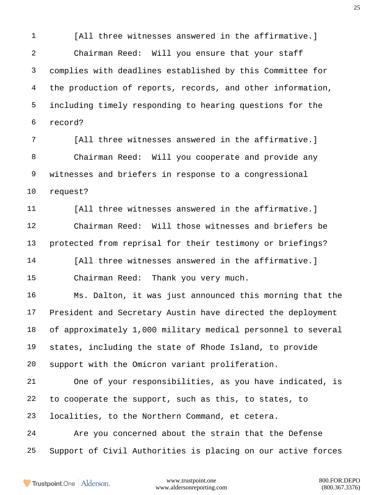[All three witnesses answered in the affirmative.] Chairman Reed: Will you ensure that your staff complies with deadlines established by this Committee for the production of reports, records, and other information, including timely responding to hearing questions for the record? [All three witnesses answered in the affirmative.] Chairman Reed: Will you cooperate and provide any witnesses and briefers in response to a congressional request? [All three witnesses answered in the affirmative.] Chairman Reed: Will those witnesses and briefers be protected from reprisal for their testimony or briefings? 14 [All three witnesses answered in the affirmative.] Chairman Reed: Thank you very much. Ms. Dalton, it was just announced this morning that the President and Secretary Austin have directed the deployment of approximately 1,000 military medical personnel to several states, including the state of Rhode Island, to provide support with the Omicron variant proliferation. One of your responsibilities, as you have indicated, is to cooperate the support, such as this, to states, to localities, to the Northern Command, et cetera. Are you concerned about the strain that the Defense

Support of Civil Authorities is placing on our active forces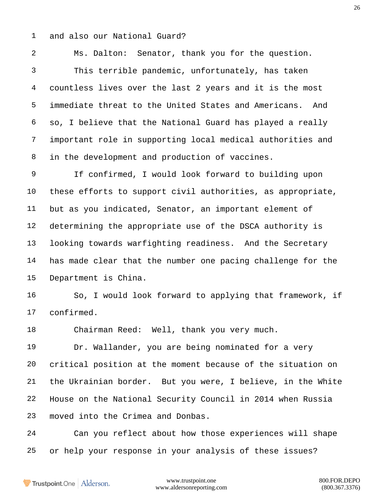and also our National Guard?

 Ms. Dalton: Senator, thank you for the question. This terrible pandemic, unfortunately, has taken countless lives over the last 2 years and it is the most immediate threat to the United States and Americans. And so, I believe that the National Guard has played a really important role in supporting local medical authorities and in the development and production of vaccines.

 If confirmed, I would look forward to building upon these efforts to support civil authorities, as appropriate, but as you indicated, Senator, an important element of determining the appropriate use of the DSCA authority is looking towards warfighting readiness. And the Secretary has made clear that the number one pacing challenge for the Department is China.

 So, I would look forward to applying that framework, if confirmed.

Chairman Reed: Well, thank you very much.

 Dr. Wallander, you are being nominated for a very critical position at the moment because of the situation on the Ukrainian border. But you were, I believe, in the White House on the National Security Council in 2014 when Russia moved into the Crimea and Donbas.

 Can you reflect about how those experiences will shape or help your response in your analysis of these issues?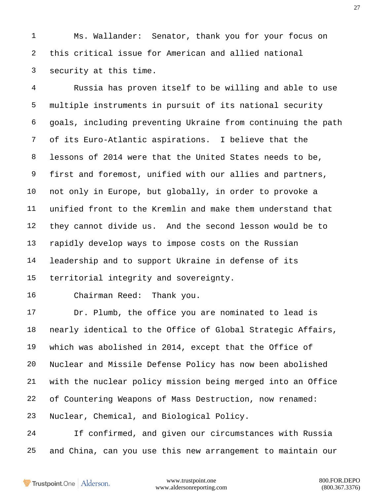Ms. Wallander: Senator, thank you for your focus on this critical issue for American and allied national security at this time.

 Russia has proven itself to be willing and able to use multiple instruments in pursuit of its national security goals, including preventing Ukraine from continuing the path of its Euro-Atlantic aspirations. I believe that the lessons of 2014 were that the United States needs to be, first and foremost, unified with our allies and partners, not only in Europe, but globally, in order to provoke a unified front to the Kremlin and make them understand that they cannot divide us. And the second lesson would be to rapidly develop ways to impose costs on the Russian leadership and to support Ukraine in defense of its territorial integrity and sovereignty.

Chairman Reed: Thank you.

 Dr. Plumb, the office you are nominated to lead is nearly identical to the Office of Global Strategic Affairs, which was abolished in 2014, except that the Office of Nuclear and Missile Defense Policy has now been abolished with the nuclear policy mission being merged into an Office of Countering Weapons of Mass Destruction, now renamed: Nuclear, Chemical, and Biological Policy.

 If confirmed, and given our circumstances with Russia and China, can you use this new arrangement to maintain our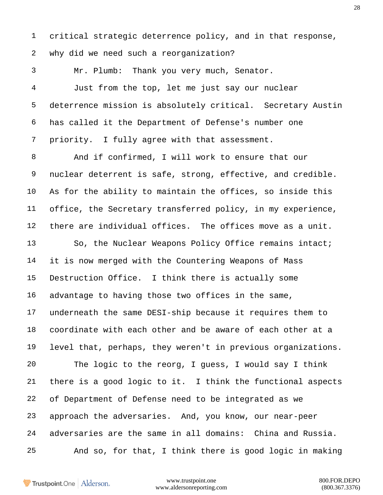critical strategic deterrence policy, and in that response, why did we need such a reorganization?

Mr. Plumb: Thank you very much, Senator.

 Just from the top, let me just say our nuclear deterrence mission is absolutely critical. Secretary Austin has called it the Department of Defense's number one priority. I fully agree with that assessment.

 And if confirmed, I will work to ensure that our nuclear deterrent is safe, strong, effective, and credible. As for the ability to maintain the offices, so inside this office, the Secretary transferred policy, in my experience, there are individual offices. The offices move as a unit.

13 So, the Nuclear Weapons Policy Office remains intact; it is now merged with the Countering Weapons of Mass Destruction Office. I think there is actually some advantage to having those two offices in the same, underneath the same DESI-ship because it requires them to coordinate with each other and be aware of each other at a level that, perhaps, they weren't in previous organizations. The logic to the reorg, I guess, I would say I think there is a good logic to it. I think the functional aspects of Department of Defense need to be integrated as we approach the adversaries. And, you know, our near-peer adversaries are the same in all domains: China and Russia. And so, for that, I think there is good logic in making

Trustpoint.One Alderson.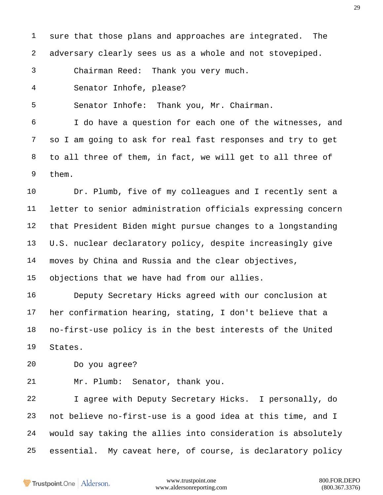sure that those plans and approaches are integrated. The adversary clearly sees us as a whole and not stovepiped. Chairman Reed: Thank you very much. Senator Inhofe, please? Senator Inhofe: Thank you, Mr. Chairman. I do have a question for each one of the witnesses, and so I am going to ask for real fast responses and try to get to all three of them, in fact, we will get to all three of them. Dr. Plumb, five of my colleagues and I recently sent a letter to senior administration officials expressing concern that President Biden might pursue changes to a longstanding U.S. nuclear declaratory policy, despite increasingly give moves by China and Russia and the clear objectives, objections that we have had from our allies. Deputy Secretary Hicks agreed with our conclusion at her confirmation hearing, stating, I don't believe that a no-first-use policy is in the best interests of the United States. Do you agree? Mr. Plumb: Senator, thank you. I agree with Deputy Secretary Hicks. I personally, do

 not believe no-first-use is a good idea at this time, and I would say taking the allies into consideration is absolutely essential. My caveat here, of course, is declaratory policy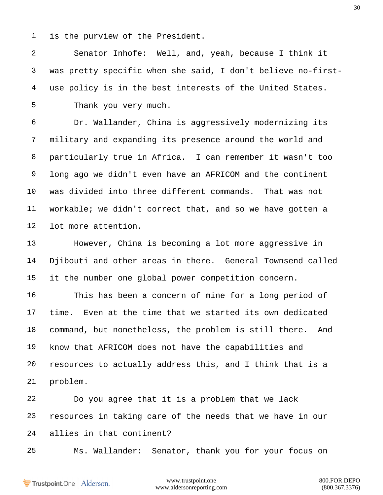is the purview of the President.

 Senator Inhofe: Well, and, yeah, because I think it was pretty specific when she said, I don't believe no-first- use policy is in the best interests of the United States. Thank you very much.

 Dr. Wallander, China is aggressively modernizing its military and expanding its presence around the world and particularly true in Africa. I can remember it wasn't too long ago we didn't even have an AFRICOM and the continent was divided into three different commands. That was not workable; we didn't correct that, and so we have gotten a lot more attention.

 However, China is becoming a lot more aggressive in Djibouti and other areas in there. General Townsend called it the number one global power competition concern.

 This has been a concern of mine for a long period of time. Even at the time that we started its own dedicated command, but nonetheless, the problem is still there. And know that AFRICOM does not have the capabilities and resources to actually address this, and I think that is a problem.

 Do you agree that it is a problem that we lack resources in taking care of the needs that we have in our allies in that continent?

Ms. Wallander: Senator, thank you for your focus on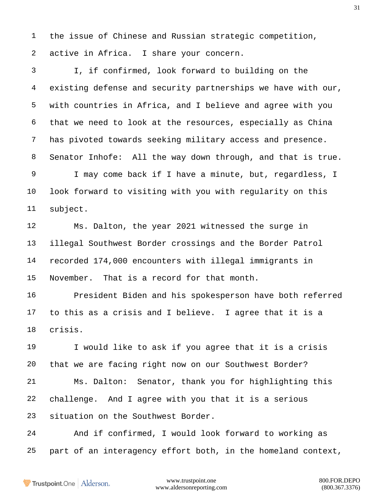the issue of Chinese and Russian strategic competition, active in Africa. I share your concern.

 I, if confirmed, look forward to building on the existing defense and security partnerships we have with our, with countries in Africa, and I believe and agree with you that we need to look at the resources, especially as China has pivoted towards seeking military access and presence. Senator Inhofe: All the way down through, and that is true. I may come back if I have a minute, but, regardless, I look forward to visiting with you with regularity on this subject.

 Ms. Dalton, the year 2021 witnessed the surge in illegal Southwest Border crossings and the Border Patrol recorded 174,000 encounters with illegal immigrants in November. That is a record for that month.

 President Biden and his spokesperson have both referred to this as a crisis and I believe. I agree that it is a crisis.

 I would like to ask if you agree that it is a crisis that we are facing right now on our Southwest Border? Ms. Dalton: Senator, thank you for highlighting this challenge. And I agree with you that it is a serious situation on the Southwest Border.

 And if confirmed, I would look forward to working as part of an interagency effort both, in the homeland context,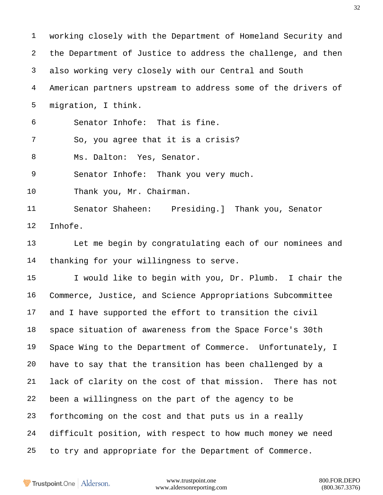working closely with the Department of Homeland Security and the Department of Justice to address the challenge, and then also working very closely with our Central and South American partners upstream to address some of the drivers of migration, I think. Senator Inhofe: That is fine. So, you agree that it is a crisis? Ms. Dalton: Yes, Senator. Senator Inhofe: Thank you very much. Thank you, Mr. Chairman. Senator Shaheen: Presiding.] Thank you, Senator Inhofe. Let me begin by congratulating each of our nominees and thanking for your willingness to serve. I would like to begin with you, Dr. Plumb. I chair the Commerce, Justice, and Science Appropriations Subcommittee and I have supported the effort to transition the civil space situation of awareness from the Space Force's 30th Space Wing to the Department of Commerce. Unfortunately, I have to say that the transition has been challenged by a lack of clarity on the cost of that mission. There has not been a willingness on the part of the agency to be forthcoming on the cost and that puts us in a really difficult position, with respect to how much money we need to try and appropriate for the Department of Commerce.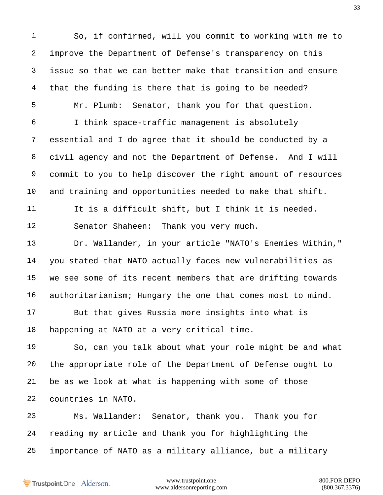So, if confirmed, will you commit to working with me to improve the Department of Defense's transparency on this issue so that we can better make that transition and ensure that the funding is there that is going to be needed? Mr. Plumb: Senator, thank you for that question. I think space-traffic management is absolutely essential and I do agree that it should be conducted by a civil agency and not the Department of Defense. And I will commit to you to help discover the right amount of resources and training and opportunities needed to make that shift. It is a difficult shift, but I think it is needed. Senator Shaheen: Thank you very much. Dr. Wallander, in your article "NATO's Enemies Within," you stated that NATO actually faces new vulnerabilities as we see some of its recent members that are drifting towards authoritarianism; Hungary the one that comes most to mind. But that gives Russia more insights into what is happening at NATO at a very critical time. So, can you talk about what your role might be and what the appropriate role of the Department of Defense ought to be as we look at what is happening with some of those countries in NATO. Ms. Wallander: Senator, thank you. Thank you for reading my article and thank you for highlighting the

importance of NATO as a military alliance, but a military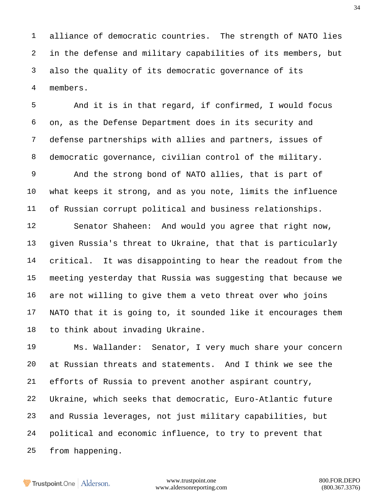alliance of democratic countries. The strength of NATO lies in the defense and military capabilities of its members, but also the quality of its democratic governance of its members.

 And it is in that regard, if confirmed, I would focus on, as the Defense Department does in its security and defense partnerships with allies and partners, issues of democratic governance, civilian control of the military.

 And the strong bond of NATO allies, that is part of what keeps it strong, and as you note, limits the influence of Russian corrupt political and business relationships.

 Senator Shaheen: And would you agree that right now, given Russia's threat to Ukraine, that that is particularly critical. It was disappointing to hear the readout from the meeting yesterday that Russia was suggesting that because we are not willing to give them a veto threat over who joins NATO that it is going to, it sounded like it encourages them to think about invading Ukraine.

 Ms. Wallander: Senator, I very much share your concern at Russian threats and statements. And I think we see the efforts of Russia to prevent another aspirant country, Ukraine, which seeks that democratic, Euro-Atlantic future and Russia leverages, not just military capabilities, but political and economic influence, to try to prevent that from happening.

Trustpoint.One Alderson.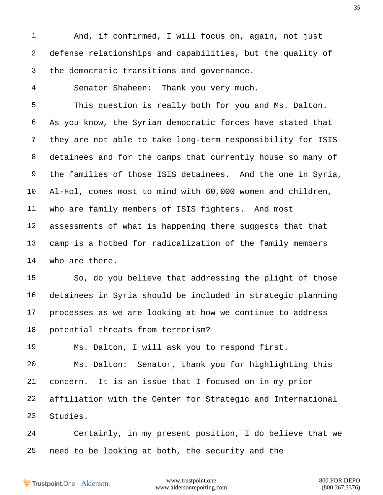And, if confirmed, I will focus on, again, not just defense relationships and capabilities, but the quality of the democratic transitions and governance.

Senator Shaheen: Thank you very much.

 This question is really both for you and Ms. Dalton. As you know, the Syrian democratic forces have stated that they are not able to take long-term responsibility for ISIS detainees and for the camps that currently house so many of the families of those ISIS detainees. And the one in Syria, Al-Hol, comes most to mind with 60,000 women and children, who are family members of ISIS fighters. And most assessments of what is happening there suggests that that camp is a hotbed for radicalization of the family members who are there.

 So, do you believe that addressing the plight of those detainees in Syria should be included in strategic planning processes as we are looking at how we continue to address potential threats from terrorism?

Ms. Dalton, I will ask you to respond first.

 Ms. Dalton: Senator, thank you for highlighting this concern. It is an issue that I focused on in my prior affiliation with the Center for Strategic and International Studies.

 Certainly, in my present position, I do believe that we need to be looking at both, the security and the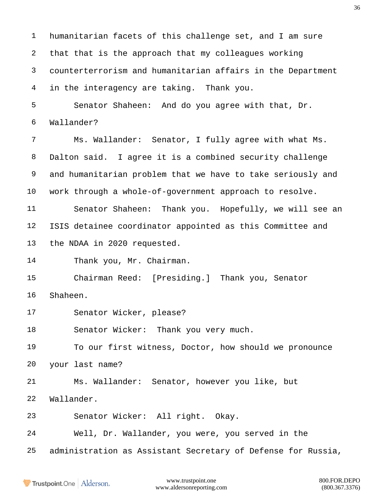humanitarian facets of this challenge set, and I am sure that that is the approach that my colleagues working counterterrorism and humanitarian affairs in the Department in the interagency are taking. Thank you. Senator Shaheen: And do you agree with that, Dr. Wallander? Ms. Wallander: Senator, I fully agree with what Ms. Dalton said. I agree it is a combined security challenge and humanitarian problem that we have to take seriously and work through a whole-of-government approach to resolve. Senator Shaheen: Thank you. Hopefully, we will see an ISIS detainee coordinator appointed as this Committee and the NDAA in 2020 requested. Thank you, Mr. Chairman. Chairman Reed: [Presiding.] Thank you, Senator Shaheen. Senator Wicker, please? 18 Senator Wicker: Thank you very much. To our first witness, Doctor, how should we pronounce your last name? Ms. Wallander: Senator, however you like, but Wallander. Senator Wicker: All right. Okay. Well, Dr. Wallander, you were, you served in the administration as Assistant Secretary of Defense for Russia,

**Trustpoint**.One Alderson.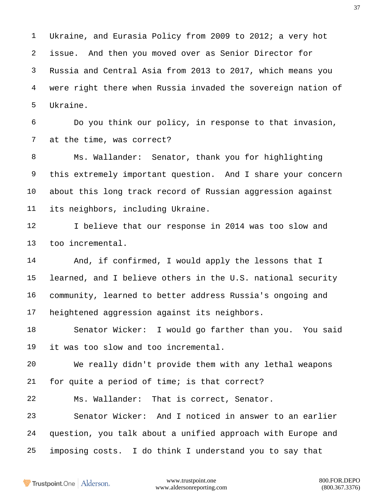Ukraine, and Eurasia Policy from 2009 to 2012; a very hot issue. And then you moved over as Senior Director for Russia and Central Asia from 2013 to 2017, which means you were right there when Russia invaded the sovereign nation of Ukraine.

 Do you think our policy, in response to that invasion, at the time, was correct?

 Ms. Wallander: Senator, thank you for highlighting this extremely important question. And I share your concern about this long track record of Russian aggression against its neighbors, including Ukraine.

12 I believe that our response in 2014 was too slow and too incremental.

 And, if confirmed, I would apply the lessons that I learned, and I believe others in the U.S. national security community, learned to better address Russia's ongoing and heightened aggression against its neighbors.

 Senator Wicker: I would go farther than you. You said it was too slow and too incremental.

 We really didn't provide them with any lethal weapons for quite a period of time; is that correct?

Ms. Wallander: That is correct, Senator.

 Senator Wicker: And I noticed in answer to an earlier question, you talk about a unified approach with Europe and imposing costs. I do think I understand you to say that

Trustpoint.One Alderson.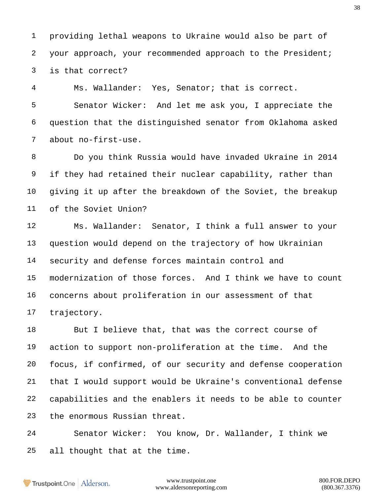providing lethal weapons to Ukraine would also be part of your approach, your recommended approach to the President; is that correct?

Ms. Wallander: Yes, Senator; that is correct.

 Senator Wicker: And let me ask you, I appreciate the question that the distinguished senator from Oklahoma asked about no-first-use.

 Do you think Russia would have invaded Ukraine in 2014 if they had retained their nuclear capability, rather than giving it up after the breakdown of the Soviet, the breakup of the Soviet Union?

 Ms. Wallander: Senator, I think a full answer to your question would depend on the trajectory of how Ukrainian security and defense forces maintain control and modernization of those forces. And I think we have to count concerns about proliferation in our assessment of that trajectory.

 But I believe that, that was the correct course of action to support non-proliferation at the time. And the focus, if confirmed, of our security and defense cooperation that I would support would be Ukraine's conventional defense capabilities and the enablers it needs to be able to counter the enormous Russian threat.

 Senator Wicker: You know, Dr. Wallander, I think we all thought that at the time.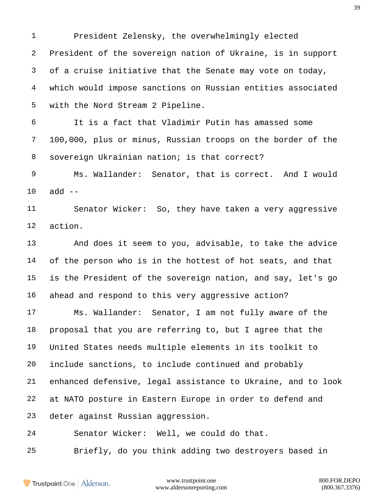President Zelensky, the overwhelmingly elected President of the sovereign nation of Ukraine, is in support of a cruise initiative that the Senate may vote on today, which would impose sanctions on Russian entities associated with the Nord Stream 2 Pipeline.

 It is a fact that Vladimir Putin has amassed some 100,000, plus or minus, Russian troops on the border of the sovereign Ukrainian nation; is that correct?

 Ms. Wallander: Senator, that is correct. And I would add --

 Senator Wicker: So, they have taken a very aggressive action.

 And does it seem to you, advisable, to take the advice of the person who is in the hottest of hot seats, and that is the President of the sovereign nation, and say, let's go ahead and respond to this very aggressive action?

 Ms. Wallander: Senator, I am not fully aware of the proposal that you are referring to, but I agree that the United States needs multiple elements in its toolkit to include sanctions, to include continued and probably enhanced defensive, legal assistance to Ukraine, and to look at NATO posture in Eastern Europe in order to defend and deter against Russian aggression.

Senator Wicker: Well, we could do that.

Briefly, do you think adding two destroyers based in

Trustpoint.One Alderson.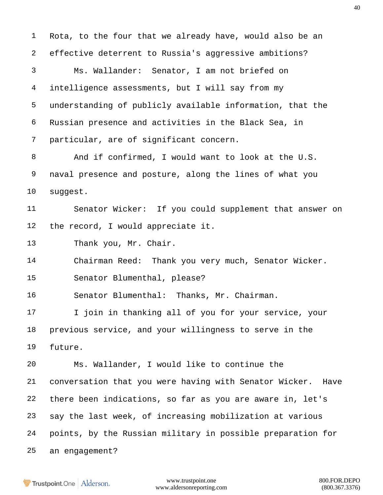Rota, to the four that we already have, would also be an effective deterrent to Russia's aggressive ambitions? Ms. Wallander: Senator, I am not briefed on intelligence assessments, but I will say from my understanding of publicly available information, that the Russian presence and activities in the Black Sea, in particular, are of significant concern. And if confirmed, I would want to look at the U.S. naval presence and posture, along the lines of what you suggest. Senator Wicker: If you could supplement that answer on the record, I would appreciate it. Thank you, Mr. Chair. Chairman Reed: Thank you very much, Senator Wicker. Senator Blumenthal, please? Senator Blumenthal: Thanks, Mr. Chairman. 17 I join in thanking all of you for your service, your previous service, and your willingness to serve in the future. Ms. Wallander, I would like to continue the conversation that you were having with Senator Wicker. Have there been indications, so far as you are aware in, let's say the last week, of increasing mobilization at various points, by the Russian military in possible preparation for an engagement?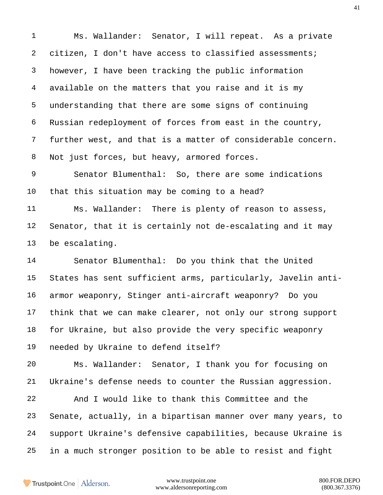Ms. Wallander: Senator, I will repeat. As a private 2 citizen, I don't have access to classified assessments; however, I have been tracking the public information available on the matters that you raise and it is my understanding that there are some signs of continuing Russian redeployment of forces from east in the country, further west, and that is a matter of considerable concern. Not just forces, but heavy, armored forces.

 Senator Blumenthal: So, there are some indications that this situation may be coming to a head?

 Ms. Wallander: There is plenty of reason to assess, Senator, that it is certainly not de-escalating and it may be escalating.

 Senator Blumenthal: Do you think that the United States has sent sufficient arms, particularly, Javelin anti- armor weaponry, Stinger anti-aircraft weaponry? Do you think that we can make clearer, not only our strong support for Ukraine, but also provide the very specific weaponry needed by Ukraine to defend itself?

 Ms. Wallander: Senator, I thank you for focusing on Ukraine's defense needs to counter the Russian aggression.

 And I would like to thank this Committee and the Senate, actually, in a bipartisan manner over many years, to support Ukraine's defensive capabilities, because Ukraine is in a much stronger position to be able to resist and fight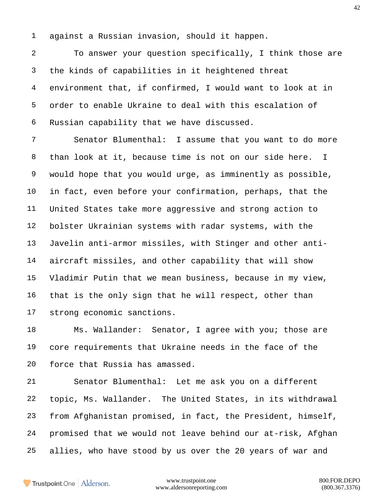against a Russian invasion, should it happen.

 To answer your question specifically, I think those are the kinds of capabilities in it heightened threat environment that, if confirmed, I would want to look at in order to enable Ukraine to deal with this escalation of Russian capability that we have discussed.

 Senator Blumenthal: I assume that you want to do more than look at it, because time is not on our side here. I would hope that you would urge, as imminently as possible, in fact, even before your confirmation, perhaps, that the United States take more aggressive and strong action to bolster Ukrainian systems with radar systems, with the Javelin anti-armor missiles, with Stinger and other anti- aircraft missiles, and other capability that will show Vladimir Putin that we mean business, because in my view, that is the only sign that he will respect, other than strong economic sanctions.

18 Ms. Wallander: Senator, I agree with you; those are core requirements that Ukraine needs in the face of the force that Russia has amassed.

 Senator Blumenthal: Let me ask you on a different topic, Ms. Wallander. The United States, in its withdrawal from Afghanistan promised, in fact, the President, himself, promised that we would not leave behind our at-risk, Afghan allies, who have stood by us over the 20 years of war and

Trustpoint.One Alderson.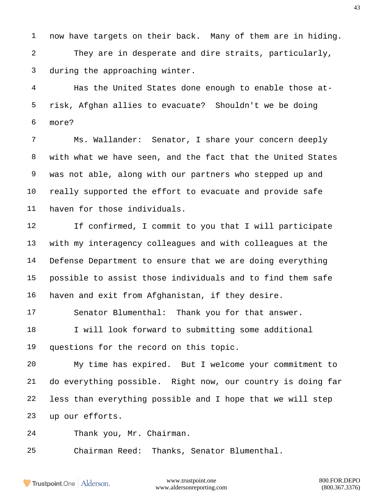now have targets on their back. Many of them are in hiding.

 They are in desperate and dire straits, particularly, during the approaching winter.

 Has the United States done enough to enable those at- risk, Afghan allies to evacuate? Shouldn't we be doing more?

 Ms. Wallander: Senator, I share your concern deeply with what we have seen, and the fact that the United States was not able, along with our partners who stepped up and really supported the effort to evacuate and provide safe haven for those individuals.

 If confirmed, I commit to you that I will participate with my interagency colleagues and with colleagues at the Defense Department to ensure that we are doing everything possible to assist those individuals and to find them safe haven and exit from Afghanistan, if they desire.

 Senator Blumenthal: Thank you for that answer. 18 I will look forward to submitting some additional questions for the record on this topic.

 My time has expired. But I welcome your commitment to do everything possible. Right now, our country is doing far less than everything possible and I hope that we will step up our efforts.

Thank you, Mr. Chairman.

Chairman Reed: Thanks, Senator Blumenthal.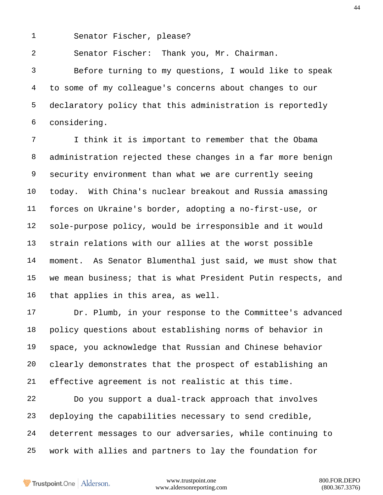Senator Fischer, please?

Senator Fischer: Thank you, Mr. Chairman.

 Before turning to my questions, I would like to speak to some of my colleague's concerns about changes to our declaratory policy that this administration is reportedly considering.

 I think it is important to remember that the Obama administration rejected these changes in a far more benign security environment than what we are currently seeing today. With China's nuclear breakout and Russia amassing forces on Ukraine's border, adopting a no-first-use, or sole-purpose policy, would be irresponsible and it would strain relations with our allies at the worst possible moment. As Senator Blumenthal just said, we must show that we mean business; that is what President Putin respects, and that applies in this area, as well.

 Dr. Plumb, in your response to the Committee's advanced policy questions about establishing norms of behavior in space, you acknowledge that Russian and Chinese behavior clearly demonstrates that the prospect of establishing an effective agreement is not realistic at this time.

 Do you support a dual-track approach that involves deploying the capabilities necessary to send credible, deterrent messages to our adversaries, while continuing to work with allies and partners to lay the foundation for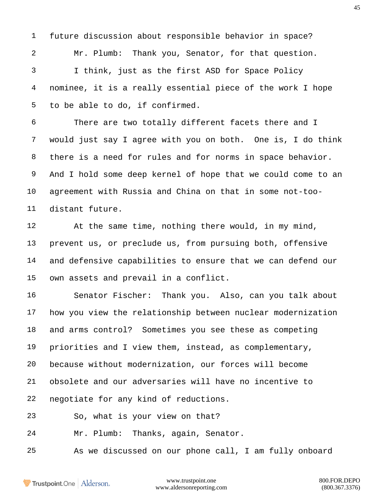Mr. Plumb: Thank you, Senator, for that question. I think, just as the first ASD for Space Policy nominee, it is a really essential piece of the work I hope to be able to do, if confirmed.

future discussion about responsible behavior in space?

 There are two totally different facets there and I would just say I agree with you on both. One is, I do think there is a need for rules and for norms in space behavior. And I hold some deep kernel of hope that we could come to an agreement with Russia and China on that in some not-too-distant future.

 At the same time, nothing there would, in my mind, prevent us, or preclude us, from pursuing both, offensive and defensive capabilities to ensure that we can defend our own assets and prevail in a conflict.

 Senator Fischer: Thank you. Also, can you talk about how you view the relationship between nuclear modernization and arms control? Sometimes you see these as competing priorities and I view them, instead, as complementary, because without modernization, our forces will become obsolete and our adversaries will have no incentive to negotiate for any kind of reductions.

So, what is your view on that?

Mr. Plumb: Thanks, again, Senator.

As we discussed on our phone call, I am fully onboard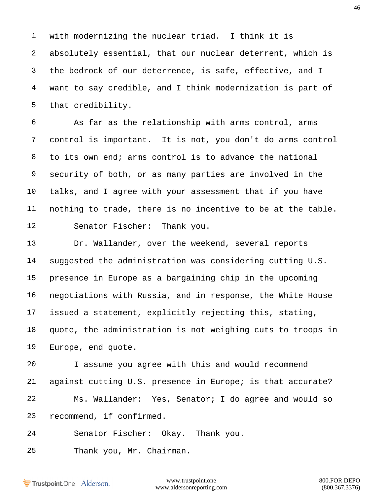with modernizing the nuclear triad. I think it is absolutely essential, that our nuclear deterrent, which is the bedrock of our deterrence, is safe, effective, and I want to say credible, and I think modernization is part of that credibility.

 As far as the relationship with arms control, arms control is important. It is not, you don't do arms control to its own end; arms control is to advance the national security of both, or as many parties are involved in the talks, and I agree with your assessment that if you have nothing to trade, there is no incentive to be at the table. Senator Fischer: Thank you.

 Dr. Wallander, over the weekend, several reports suggested the administration was considering cutting U.S. presence in Europe as a bargaining chip in the upcoming negotiations with Russia, and in response, the White House issued a statement, explicitly rejecting this, stating, quote, the administration is not weighing cuts to troops in Europe, end quote.

 I assume you agree with this and would recommend against cutting U.S. presence in Europe; is that accurate? Ms. Wallander: Yes, Senator; I do agree and would so recommend, if confirmed.

Senator Fischer: Okay. Thank you.

Thank you, Mr. Chairman.

Trustpoint.One Alderson.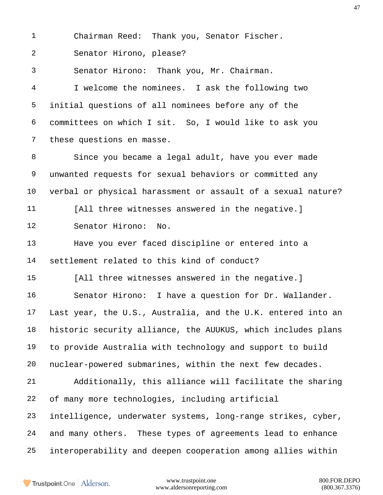Chairman Reed: Thank you, Senator Fischer.

Senator Hirono, please?

Senator Hirono: Thank you, Mr. Chairman.

 I welcome the nominees. I ask the following two initial questions of all nominees before any of the committees on which I sit. So, I would like to ask you these questions en masse.

 Since you became a legal adult, have you ever made unwanted requests for sexual behaviors or committed any verbal or physical harassment or assault of a sexual nature? [All three witnesses answered in the negative.] Senator Hirono: No.

 Have you ever faced discipline or entered into a settlement related to this kind of conduct?

[All three witnesses answered in the negative.]

 Senator Hirono: I have a question for Dr. Wallander. Last year, the U.S., Australia, and the U.K. entered into an historic security alliance, the AUUKUS, which includes plans to provide Australia with technology and support to build nuclear-powered submarines, within the next few decades. Additionally, this alliance will facilitate the sharing

of many more technologies, including artificial

 intelligence, underwater systems, long-range strikes, cyber, and many others. These types of agreements lead to enhance interoperability and deepen cooperation among allies within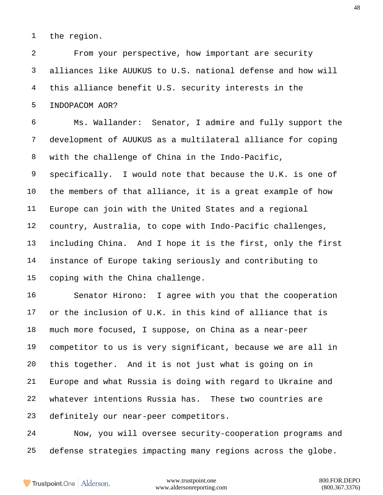the region.

 From your perspective, how important are security alliances like AUUKUS to U.S. national defense and how will this alliance benefit U.S. security interests in the INDOPACOM AOR?

 Ms. Wallander: Senator, I admire and fully support the development of AUUKUS as a multilateral alliance for coping with the challenge of China in the Indo-Pacific,

 specifically. I would note that because the U.K. is one of the members of that alliance, it is a great example of how Europe can join with the United States and a regional country, Australia, to cope with Indo-Pacific challenges, including China. And I hope it is the first, only the first instance of Europe taking seriously and contributing to coping with the China challenge.

 Senator Hirono: I agree with you that the cooperation or the inclusion of U.K. in this kind of alliance that is much more focused, I suppose, on China as a near-peer competitor to us is very significant, because we are all in this together. And it is not just what is going on in Europe and what Russia is doing with regard to Ukraine and whatever intentions Russia has. These two countries are definitely our near-peer competitors.

 Now, you will oversee security-cooperation programs and defense strategies impacting many regions across the globe.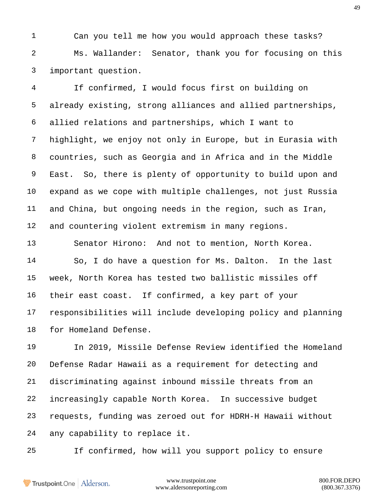Can you tell me how you would approach these tasks? Ms. Wallander: Senator, thank you for focusing on this important question.

 If confirmed, I would focus first on building on already existing, strong alliances and allied partnerships, allied relations and partnerships, which I want to highlight, we enjoy not only in Europe, but in Eurasia with countries, such as Georgia and in Africa and in the Middle East. So, there is plenty of opportunity to build upon and expand as we cope with multiple challenges, not just Russia and China, but ongoing needs in the region, such as Iran, and countering violent extremism in many regions.

 Senator Hirono: And not to mention, North Korea. So, I do have a question for Ms. Dalton. In the last week, North Korea has tested two ballistic missiles off their east coast. If confirmed, a key part of your responsibilities will include developing policy and planning for Homeland Defense.

 In 2019, Missile Defense Review identified the Homeland Defense Radar Hawaii as a requirement for detecting and discriminating against inbound missile threats from an increasingly capable North Korea. In successive budget requests, funding was zeroed out for HDRH-H Hawaii without any capability to replace it.

If confirmed, how will you support policy to ensure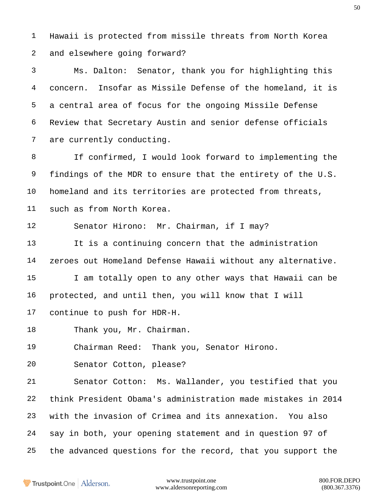Hawaii is protected from missile threats from North Korea and elsewhere going forward?

 Ms. Dalton: Senator, thank you for highlighting this concern. Insofar as Missile Defense of the homeland, it is a central area of focus for the ongoing Missile Defense Review that Secretary Austin and senior defense officials are currently conducting.

 If confirmed, I would look forward to implementing the findings of the MDR to ensure that the entirety of the U.S. homeland and its territories are protected from threats, such as from North Korea.

Senator Hirono: Mr. Chairman, if I may?

 It is a continuing concern that the administration zeroes out Homeland Defense Hawaii without any alternative. I am totally open to any other ways that Hawaii can be protected, and until then, you will know that I will continue to push for HDR-H.

Thank you, Mr. Chairman.

Chairman Reed: Thank you, Senator Hirono.

Senator Cotton, please?

 Senator Cotton: Ms. Wallander, you testified that you think President Obama's administration made mistakes in 2014 with the invasion of Crimea and its annexation. You also say in both, your opening statement and in question 97 of the advanced questions for the record, that you support the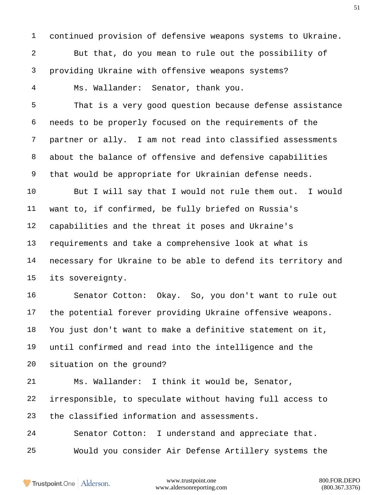continued provision of defensive weapons systems to Ukraine. But that, do you mean to rule out the possibility of providing Ukraine with offensive weapons systems? Ms. Wallander: Senator, thank you. That is a very good question because defense assistance needs to be properly focused on the requirements of the partner or ally. I am not read into classified assessments

 about the balance of offensive and defensive capabilities that would be appropriate for Ukrainian defense needs.

 But I will say that I would not rule them out. I would want to, if confirmed, be fully briefed on Russia's capabilities and the threat it poses and Ukraine's requirements and take a comprehensive look at what is necessary for Ukraine to be able to defend its territory and its sovereignty.

 Senator Cotton: Okay. So, you don't want to rule out the potential forever providing Ukraine offensive weapons. You just don't want to make a definitive statement on it, until confirmed and read into the intelligence and the situation on the ground?

 Ms. Wallander: I think it would be, Senator, irresponsible, to speculate without having full access to the classified information and assessments. Senator Cotton: I understand and appreciate that.

Would you consider Air Defense Artillery systems the

Trustpoint.One Alderson.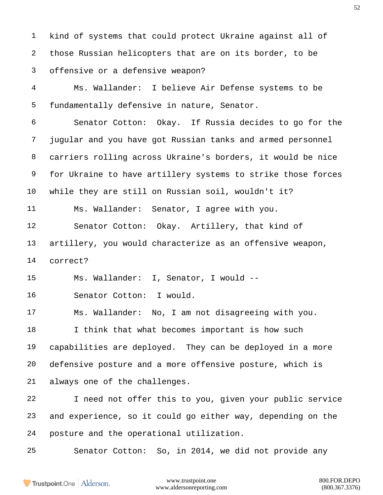kind of systems that could protect Ukraine against all of those Russian helicopters that are on its border, to be offensive or a defensive weapon?

 Ms. Wallander: I believe Air Defense systems to be fundamentally defensive in nature, Senator.

 Senator Cotton: Okay. If Russia decides to go for the jugular and you have got Russian tanks and armed personnel carriers rolling across Ukraine's borders, it would be nice for Ukraine to have artillery systems to strike those forces while they are still on Russian soil, wouldn't it?

Ms. Wallander: Senator, I agree with you.

 Senator Cotton: Okay. Artillery, that kind of artillery, you would characterize as an offensive weapon, correct?

Ms. Wallander: I, Senator, I would --

Senator Cotton: I would.

 Ms. Wallander: No, I am not disagreeing with you. 18 I think that what becomes important is how such capabilities are deployed. They can be deployed in a more defensive posture and a more offensive posture, which is always one of the challenges.

 I need not offer this to you, given your public service and experience, so it could go either way, depending on the posture and the operational utilization.

Senator Cotton: So, in 2014, we did not provide any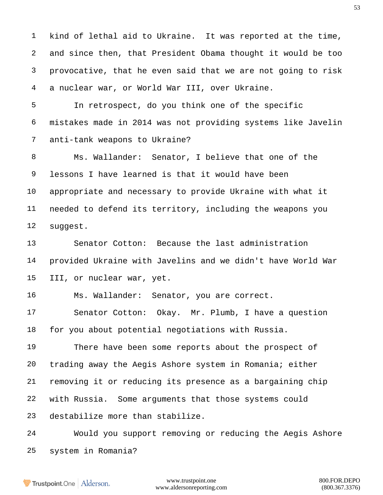kind of lethal aid to Ukraine. It was reported at the time, and since then, that President Obama thought it would be too provocative, that he even said that we are not going to risk a nuclear war, or World War III, over Ukraine.

 In retrospect, do you think one of the specific mistakes made in 2014 was not providing systems like Javelin anti-tank weapons to Ukraine?

 Ms. Wallander: Senator, I believe that one of the lessons I have learned is that it would have been appropriate and necessary to provide Ukraine with what it needed to defend its territory, including the weapons you suggest.

 Senator Cotton: Because the last administration provided Ukraine with Javelins and we didn't have World War III, or nuclear war, yet.

Ms. Wallander: Senator, you are correct.

 Senator Cotton: Okay. Mr. Plumb, I have a question for you about potential negotiations with Russia.

 There have been some reports about the prospect of trading away the Aegis Ashore system in Romania; either removing it or reducing its presence as a bargaining chip with Russia. Some arguments that those systems could destabilize more than stabilize.

 Would you support removing or reducing the Aegis Ashore system in Romania?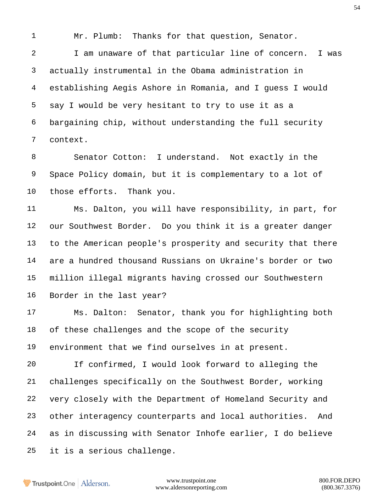Mr. Plumb: Thanks for that question, Senator.

 I am unaware of that particular line of concern. I was actually instrumental in the Obama administration in establishing Aegis Ashore in Romania, and I guess I would say I would be very hesitant to try to use it as a bargaining chip, without understanding the full security context.

 Senator Cotton: I understand. Not exactly in the Space Policy domain, but it is complementary to a lot of those efforts. Thank you.

 Ms. Dalton, you will have responsibility, in part, for our Southwest Border. Do you think it is a greater danger to the American people's prosperity and security that there are a hundred thousand Russians on Ukraine's border or two million illegal migrants having crossed our Southwestern Border in the last year?

 Ms. Dalton: Senator, thank you for highlighting both of these challenges and the scope of the security environment that we find ourselves in at present.

 If confirmed, I would look forward to alleging the challenges specifically on the Southwest Border, working very closely with the Department of Homeland Security and other interagency counterparts and local authorities. And as in discussing with Senator Inhofe earlier, I do believe it is a serious challenge.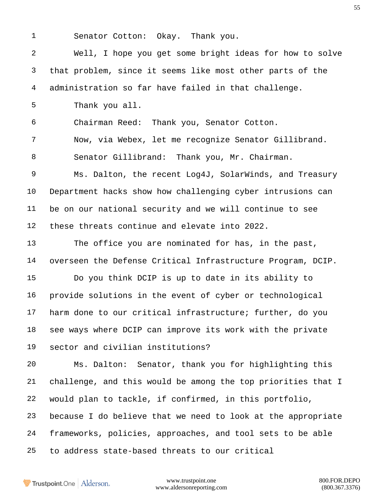Senator Cotton: Okay. Thank you.

 Well, I hope you get some bright ideas for how to solve that problem, since it seems like most other parts of the administration so far have failed in that challenge. Thank you all. Chairman Reed: Thank you, Senator Cotton. Now, via Webex, let me recognize Senator Gillibrand. Senator Gillibrand: Thank you, Mr. Chairman. Ms. Dalton, the recent Log4J, SolarWinds, and Treasury Department hacks show how challenging cyber intrusions can be on our national security and we will continue to see these threats continue and elevate into 2022. The office you are nominated for has, in the past, overseen the Defense Critical Infrastructure Program, DCIP. Do you think DCIP is up to date in its ability to provide solutions in the event of cyber or technological harm done to our critical infrastructure; further, do you see ways where DCIP can improve its work with the private sector and civilian institutions? Ms. Dalton: Senator, thank you for highlighting this challenge, and this would be among the top priorities that I would plan to tackle, if confirmed, in this portfolio, because I do believe that we need to look at the appropriate frameworks, policies, approaches, and tool sets to be able to address state-based threats to our critical

Trustpoint.One Alderson.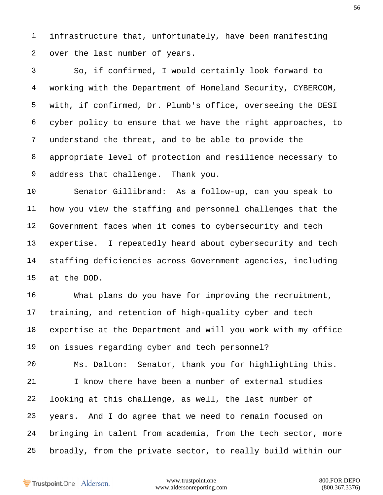infrastructure that, unfortunately, have been manifesting over the last number of years.

 So, if confirmed, I would certainly look forward to working with the Department of Homeland Security, CYBERCOM, with, if confirmed, Dr. Plumb's office, overseeing the DESI cyber policy to ensure that we have the right approaches, to understand the threat, and to be able to provide the appropriate level of protection and resilience necessary to address that challenge. Thank you.

 Senator Gillibrand: As a follow-up, can you speak to how you view the staffing and personnel challenges that the Government faces when it comes to cybersecurity and tech expertise. I repeatedly heard about cybersecurity and tech staffing deficiencies across Government agencies, including at the DOD.

 What plans do you have for improving the recruitment, training, and retention of high-quality cyber and tech expertise at the Department and will you work with my office on issues regarding cyber and tech personnel?

 Ms. Dalton: Senator, thank you for highlighting this. I know there have been a number of external studies looking at this challenge, as well, the last number of years. And I do agree that we need to remain focused on bringing in talent from academia, from the tech sector, more broadly, from the private sector, to really build within our

Trustpoint.One Alderson.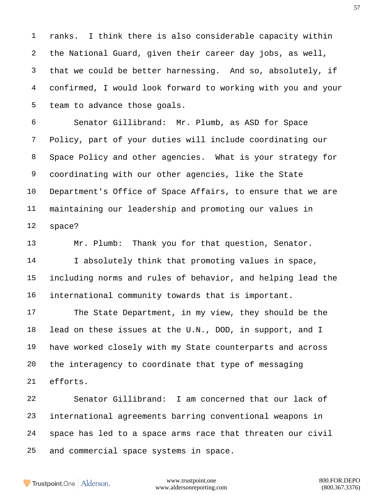ranks. I think there is also considerable capacity within the National Guard, given their career day jobs, as well, that we could be better harnessing. And so, absolutely, if confirmed, I would look forward to working with you and your team to advance those goals.

 Senator Gillibrand: Mr. Plumb, as ASD for Space Policy, part of your duties will include coordinating our Space Policy and other agencies. What is your strategy for coordinating with our other agencies, like the State Department's Office of Space Affairs, to ensure that we are maintaining our leadership and promoting our values in space?

 Mr. Plumb: Thank you for that question, Senator. I absolutely think that promoting values in space, including norms and rules of behavior, and helping lead the international community towards that is important.

 The State Department, in my view, they should be the lead on these issues at the U.N., DOD, in support, and I have worked closely with my State counterparts and across the interagency to coordinate that type of messaging efforts.

 Senator Gillibrand: I am concerned that our lack of international agreements barring conventional weapons in space has led to a space arms race that threaten our civil and commercial space systems in space.

Trustpoint.One Alderson.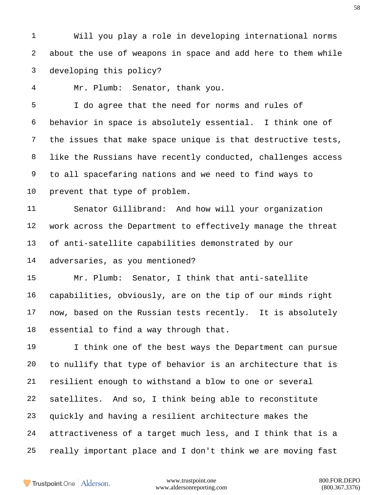Will you play a role in developing international norms about the use of weapons in space and add here to them while developing this policy?

Mr. Plumb: Senator, thank you.

 I do agree that the need for norms and rules of behavior in space is absolutely essential. I think one of the issues that make space unique is that destructive tests, like the Russians have recently conducted, challenges access to all spacefaring nations and we need to find ways to prevent that type of problem.

 Senator Gillibrand: And how will your organization work across the Department to effectively manage the threat of anti-satellite capabilities demonstrated by our adversaries, as you mentioned?

 Mr. Plumb: Senator, I think that anti-satellite capabilities, obviously, are on the tip of our minds right now, based on the Russian tests recently. It is absolutely essential to find a way through that.

 I think one of the best ways the Department can pursue to nullify that type of behavior is an architecture that is resilient enough to withstand a blow to one or several satellites. And so, I think being able to reconstitute quickly and having a resilient architecture makes the attractiveness of a target much less, and I think that is a really important place and I don't think we are moving fast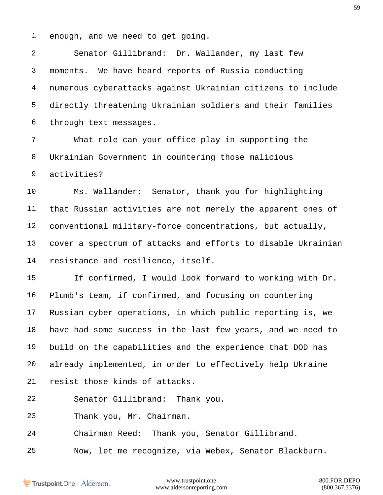enough, and we need to get going.

 Senator Gillibrand: Dr. Wallander, my last few moments. We have heard reports of Russia conducting numerous cyberattacks against Ukrainian citizens to include directly threatening Ukrainian soldiers and their families through text messages.

 What role can your office play in supporting the Ukrainian Government in countering those malicious activities?

 Ms. Wallander: Senator, thank you for highlighting that Russian activities are not merely the apparent ones of conventional military-force concentrations, but actually, cover a spectrum of attacks and efforts to disable Ukrainian resistance and resilience, itself.

 If confirmed, I would look forward to working with Dr. Plumb's team, if confirmed, and focusing on countering Russian cyber operations, in which public reporting is, we have had some success in the last few years, and we need to build on the capabilities and the experience that DOD has already implemented, in order to effectively help Ukraine resist those kinds of attacks.

- Senator Gillibrand: Thank you.
- Thank you, Mr. Chairman.

Chairman Reed: Thank you, Senator Gillibrand.

Now, let me recognize, via Webex, Senator Blackburn.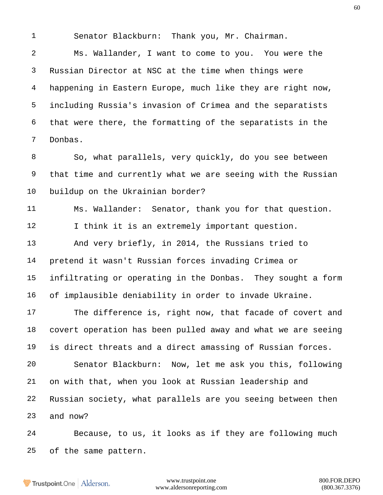Senator Blackburn: Thank you, Mr. Chairman.

 Ms. Wallander, I want to come to you. You were the Russian Director at NSC at the time when things were happening in Eastern Europe, much like they are right now, including Russia's invasion of Crimea and the separatists that were there, the formatting of the separatists in the Donbas.

 So, what parallels, very quickly, do you see between that time and currently what we are seeing with the Russian buildup on the Ukrainian border?

 Ms. Wallander: Senator, thank you for that question. 12 I think it is an extremely important question. And very briefly, in 2014, the Russians tried to pretend it wasn't Russian forces invading Crimea or

 infiltrating or operating in the Donbas. They sought a form of implausible deniability in order to invade Ukraine.

 The difference is, right now, that facade of covert and covert operation has been pulled away and what we are seeing is direct threats and a direct amassing of Russian forces. Senator Blackburn: Now, let me ask you this, following on with that, when you look at Russian leadership and Russian society, what parallels are you seeing between then and now?

 Because, to us, it looks as if they are following much of the same pattern.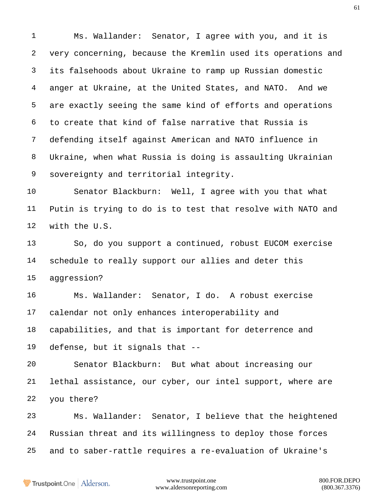Ms. Wallander: Senator, I agree with you, and it is very concerning, because the Kremlin used its operations and its falsehoods about Ukraine to ramp up Russian domestic anger at Ukraine, at the United States, and NATO. And we are exactly seeing the same kind of efforts and operations to create that kind of false narrative that Russia is defending itself against American and NATO influence in Ukraine, when what Russia is doing is assaulting Ukrainian sovereignty and territorial integrity.

 Senator Blackburn: Well, I agree with you that what Putin is trying to do is to test that resolve with NATO and with the U.S.

 So, do you support a continued, robust EUCOM exercise schedule to really support our allies and deter this aggression?

 Ms. Wallander: Senator, I do. A robust exercise calendar not only enhances interoperability and capabilities, and that is important for deterrence and defense, but it signals that --

 Senator Blackburn: But what about increasing our lethal assistance, our cyber, our intel support, where are you there?

 Ms. Wallander: Senator, I believe that the heightened Russian threat and its willingness to deploy those forces and to saber-rattle requires a re-evaluation of Ukraine's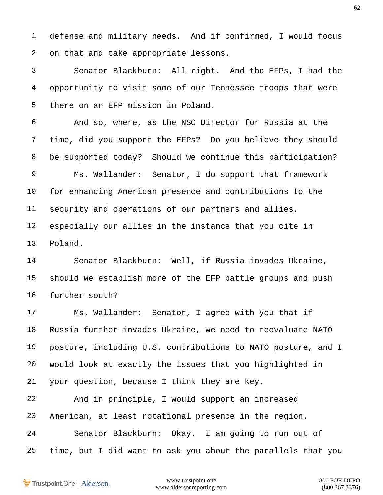defense and military needs. And if confirmed, I would focus on that and take appropriate lessons.

 Senator Blackburn: All right. And the EFPs, I had the opportunity to visit some of our Tennessee troops that were there on an EFP mission in Poland.

 And so, where, as the NSC Director for Russia at the time, did you support the EFPs? Do you believe they should be supported today? Should we continue this participation? Ms. Wallander: Senator, I do support that framework for enhancing American presence and contributions to the security and operations of our partners and allies, especially our allies in the instance that you cite in Poland.

 Senator Blackburn: Well, if Russia invades Ukraine, should we establish more of the EFP battle groups and push further south?

 Ms. Wallander: Senator, I agree with you that if Russia further invades Ukraine, we need to reevaluate NATO posture, including U.S. contributions to NATO posture, and I would look at exactly the issues that you highlighted in your question, because I think they are key.

 And in principle, I would support an increased American, at least rotational presence in the region. Senator Blackburn: Okay. I am going to run out of time, but I did want to ask you about the parallels that you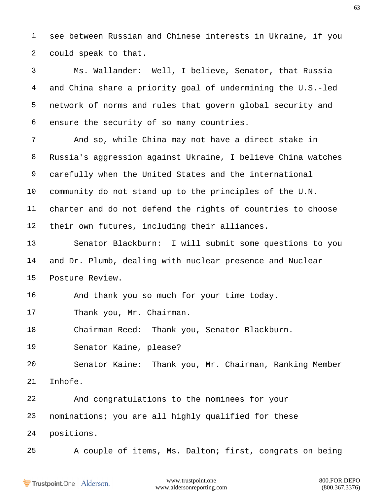see between Russian and Chinese interests in Ukraine, if you could speak to that.

 Ms. Wallander: Well, I believe, Senator, that Russia and China share a priority goal of undermining the U.S.-led network of norms and rules that govern global security and ensure the security of so many countries.

 And so, while China may not have a direct stake in Russia's aggression against Ukraine, I believe China watches carefully when the United States and the international community do not stand up to the principles of the U.N. charter and do not defend the rights of countries to choose their own futures, including their alliances.

 Senator Blackburn: I will submit some questions to you and Dr. Plumb, dealing with nuclear presence and Nuclear Posture Review.

And thank you so much for your time today.

17 Thank you, Mr. Chairman.

Chairman Reed: Thank you, Senator Blackburn.

Senator Kaine, please?

 Senator Kaine: Thank you, Mr. Chairman, Ranking Member Inhofe.

 And congratulations to the nominees for your nominations; you are all highly qualified for these positions.

A couple of items, Ms. Dalton; first, congrats on being

**Trustpoint**.One Alderson.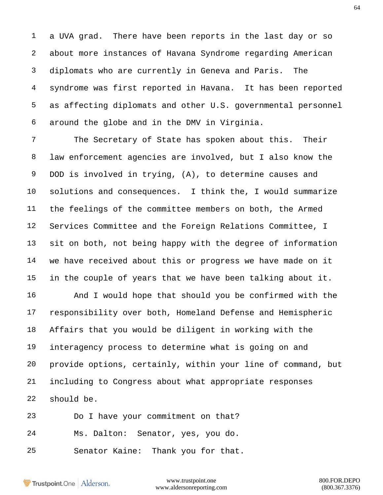a UVA grad. There have been reports in the last day or so about more instances of Havana Syndrome regarding American diplomats who are currently in Geneva and Paris. The syndrome was first reported in Havana. It has been reported as affecting diplomats and other U.S. governmental personnel around the globe and in the DMV in Virginia.

 The Secretary of State has spoken about this. Their law enforcement agencies are involved, but I also know the DOD is involved in trying, (A), to determine causes and solutions and consequences. I think the, I would summarize the feelings of the committee members on both, the Armed Services Committee and the Foreign Relations Committee, I sit on both, not being happy with the degree of information we have received about this or progress we have made on it in the couple of years that we have been talking about it.

 And I would hope that should you be confirmed with the responsibility over both, Homeland Defense and Hemispheric Affairs that you would be diligent in working with the interagency process to determine what is going on and provide options, certainly, within your line of command, but including to Congress about what appropriate responses should be.

 Do I have your commitment on that? Ms. Dalton: Senator, yes, you do. Senator Kaine: Thank you for that.

Trustpoint.One Alderson.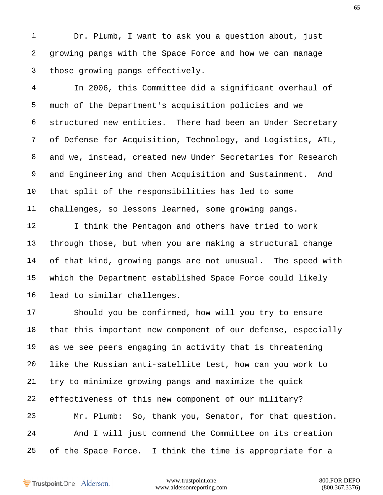Dr. Plumb, I want to ask you a question about, just growing pangs with the Space Force and how we can manage those growing pangs effectively.

 In 2006, this Committee did a significant overhaul of much of the Department's acquisition policies and we structured new entities. There had been an Under Secretary of Defense for Acquisition, Technology, and Logistics, ATL, and we, instead, created new Under Secretaries for Research and Engineering and then Acquisition and Sustainment. And that split of the responsibilities has led to some challenges, so lessons learned, some growing pangs.

12 I think the Pentagon and others have tried to work through those, but when you are making a structural change of that kind, growing pangs are not unusual. The speed with which the Department established Space Force could likely lead to similar challenges.

 Should you be confirmed, how will you try to ensure that this important new component of our defense, especially as we see peers engaging in activity that is threatening like the Russian anti-satellite test, how can you work to try to minimize growing pangs and maximize the quick effectiveness of this new component of our military? Mr. Plumb: So, thank you, Senator, for that question. And I will just commend the Committee on its creation of the Space Force. I think the time is appropriate for a

Trustpoint.One Alderson.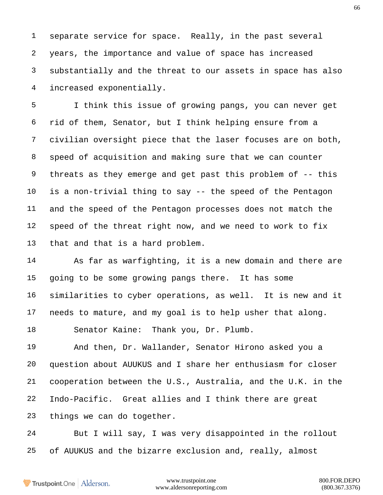separate service for space. Really, in the past several years, the importance and value of space has increased substantially and the threat to our assets in space has also increased exponentially.

 I think this issue of growing pangs, you can never get rid of them, Senator, but I think helping ensure from a civilian oversight piece that the laser focuses are on both, speed of acquisition and making sure that we can counter threats as they emerge and get past this problem of -- this is a non-trivial thing to say -- the speed of the Pentagon and the speed of the Pentagon processes does not match the speed of the threat right now, and we need to work to fix that and that is a hard problem.

 As far as warfighting, it is a new domain and there are going to be some growing pangs there. It has some similarities to cyber operations, as well. It is new and it needs to mature, and my goal is to help usher that along.

Senator Kaine: Thank you, Dr. Plumb.

 And then, Dr. Wallander, Senator Hirono asked you a question about AUUKUS and I share her enthusiasm for closer cooperation between the U.S., Australia, and the U.K. in the Indo-Pacific. Great allies and I think there are great things we can do together.

 But I will say, I was very disappointed in the rollout of AUUKUS and the bizarre exclusion and, really, almost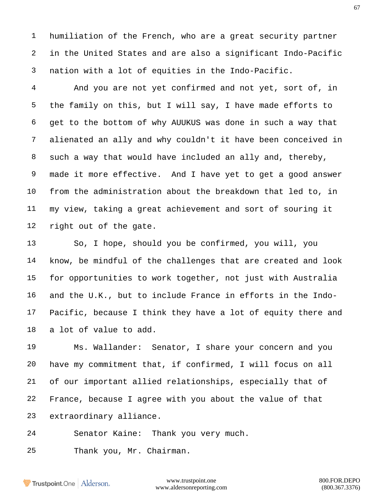humiliation of the French, who are a great security partner in the United States and are also a significant Indo-Pacific nation with a lot of equities in the Indo-Pacific.

 And you are not yet confirmed and not yet, sort of, in the family on this, but I will say, I have made efforts to get to the bottom of why AUUKUS was done in such a way that alienated an ally and why couldn't it have been conceived in such a way that would have included an ally and, thereby, made it more effective. And I have yet to get a good answer from the administration about the breakdown that led to, in my view, taking a great achievement and sort of souring it right out of the gate.

 So, I hope, should you be confirmed, you will, you know, be mindful of the challenges that are created and look for opportunities to work together, not just with Australia and the U.K., but to include France in efforts in the Indo- Pacific, because I think they have a lot of equity there and a lot of value to add.

 Ms. Wallander: Senator, I share your concern and you have my commitment that, if confirmed, I will focus on all of our important allied relationships, especially that of France, because I agree with you about the value of that extraordinary alliance.

Senator Kaine: Thank you very much.

Thank you, Mr. Chairman.

Trustpoint.One Alderson.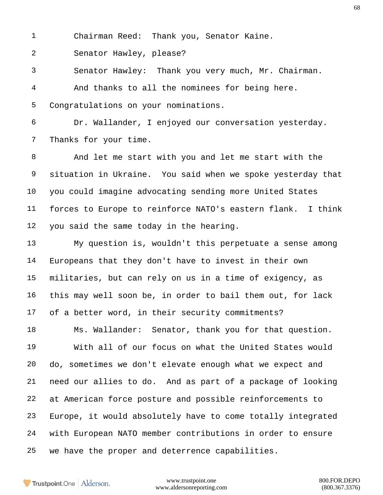Chairman Reed: Thank you, Senator Kaine.

Senator Hawley, please?

Senator Hawley: Thank you very much, Mr. Chairman.

 And thanks to all the nominees for being here. Congratulations on your nominations.

 Dr. Wallander, I enjoyed our conversation yesterday. Thanks for your time.

 And let me start with you and let me start with the situation in Ukraine. You said when we spoke yesterday that you could imagine advocating sending more United States forces to Europe to reinforce NATO's eastern flank. I think you said the same today in the hearing.

 My question is, wouldn't this perpetuate a sense among Europeans that they don't have to invest in their own militaries, but can rely on us in a time of exigency, as this may well soon be, in order to bail them out, for lack of a better word, in their security commitments?

 Ms. Wallander: Senator, thank you for that question. With all of our focus on what the United States would do, sometimes we don't elevate enough what we expect and need our allies to do. And as part of a package of looking at American force posture and possible reinforcements to Europe, it would absolutely have to come totally integrated with European NATO member contributions in order to ensure we have the proper and deterrence capabilities.

Trustpoint.One Alderson.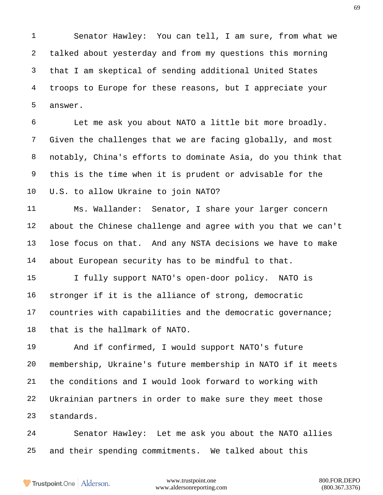Senator Hawley: You can tell, I am sure, from what we talked about yesterday and from my questions this morning that I am skeptical of sending additional United States troops to Europe for these reasons, but I appreciate your answer.

 Let me ask you about NATO a little bit more broadly. Given the challenges that we are facing globally, and most notably, China's efforts to dominate Asia, do you think that this is the time when it is prudent or advisable for the U.S. to allow Ukraine to join NATO?

 Ms. Wallander: Senator, I share your larger concern about the Chinese challenge and agree with you that we can't lose focus on that. And any NSTA decisions we have to make about European security has to be mindful to that.

 I fully support NATO's open-door policy. NATO is stronger if it is the alliance of strong, democratic countries with capabilities and the democratic governance; that is the hallmark of NATO.

 And if confirmed, I would support NATO's future membership, Ukraine's future membership in NATO if it meets the conditions and I would look forward to working with Ukrainian partners in order to make sure they meet those standards.

 Senator Hawley: Let me ask you about the NATO allies and their spending commitments. We talked about this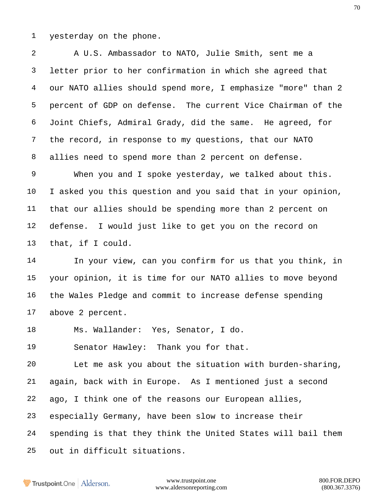yesterday on the phone.

 A U.S. Ambassador to NATO, Julie Smith, sent me a letter prior to her confirmation in which she agreed that our NATO allies should spend more, I emphasize "more" than 2 percent of GDP on defense. The current Vice Chairman of the Joint Chiefs, Admiral Grady, did the same. He agreed, for the record, in response to my questions, that our NATO allies need to spend more than 2 percent on defense.

 When you and I spoke yesterday, we talked about this. I asked you this question and you said that in your opinion, that our allies should be spending more than 2 percent on defense. I would just like to get you on the record on that, if I could.

 In your view, can you confirm for us that you think, in your opinion, it is time for our NATO allies to move beyond the Wales Pledge and commit to increase defense spending above 2 percent.

Ms. Wallander: Yes, Senator, I do.

Senator Hawley: Thank you for that.

 Let me ask you about the situation with burden-sharing, again, back with in Europe. As I mentioned just a second ago, I think one of the reasons our European allies, especially Germany, have been slow to increase their spending is that they think the United States will bail them out in difficult situations.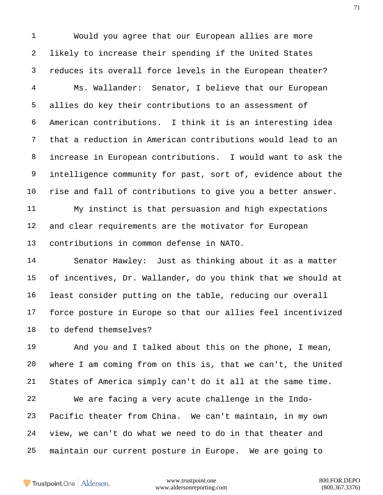Would you agree that our European allies are more likely to increase their spending if the United States reduces its overall force levels in the European theater?

 Ms. Wallander: Senator, I believe that our European allies do key their contributions to an assessment of American contributions. I think it is an interesting idea that a reduction in American contributions would lead to an increase in European contributions. I would want to ask the intelligence community for past, sort of, evidence about the rise and fall of contributions to give you a better answer.

 My instinct is that persuasion and high expectations and clear requirements are the motivator for European contributions in common defense in NATO.

 Senator Hawley: Just as thinking about it as a matter of incentives, Dr. Wallander, do you think that we should at least consider putting on the table, reducing our overall force posture in Europe so that our allies feel incentivized to defend themselves?

 And you and I talked about this on the phone, I mean, where I am coming from on this is, that we can't, the United States of America simply can't do it all at the same time.

 We are facing a very acute challenge in the Indo- Pacific theater from China. We can't maintain, in my own view, we can't do what we need to do in that theater and maintain our current posture in Europe. We are going to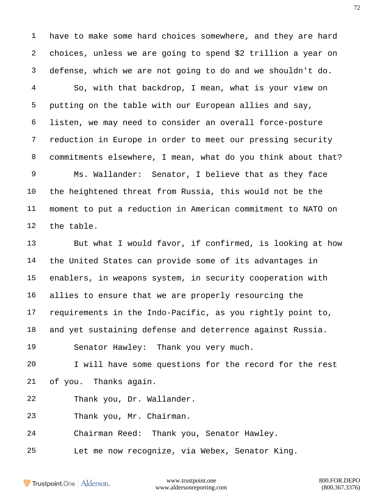have to make some hard choices somewhere, and they are hard choices, unless we are going to spend \$2 trillion a year on defense, which we are not going to do and we shouldn't do.

 So, with that backdrop, I mean, what is your view on putting on the table with our European allies and say, listen, we may need to consider an overall force-posture reduction in Europe in order to meet our pressing security commitments elsewhere, I mean, what do you think about that? Ms. Wallander: Senator, I believe that as they face

 the heightened threat from Russia, this would not be the moment to put a reduction in American commitment to NATO on the table.

 But what I would favor, if confirmed, is looking at how the United States can provide some of its advantages in enablers, in weapons system, in security cooperation with allies to ensure that we are properly resourcing the requirements in the Indo-Pacific, as you rightly point to, and yet sustaining defense and deterrence against Russia. Senator Hawley: Thank you very much.

 I will have some questions for the record for the rest of you. Thanks again.

Thank you, Dr. Wallander.

Thank you, Mr. Chairman.

- Chairman Reed: Thank you, Senator Hawley.
- Let me now recognize, via Webex, Senator King.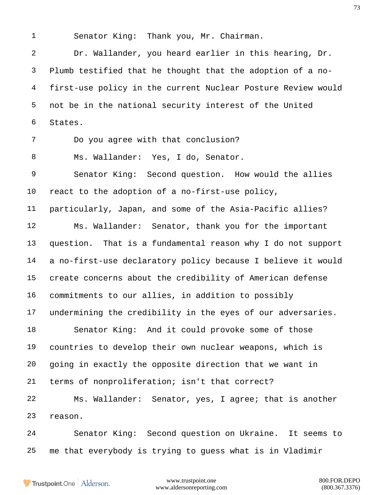Senator King: Thank you, Mr. Chairman.

 Dr. Wallander, you heard earlier in this hearing, Dr. Plumb testified that he thought that the adoption of a no- first-use policy in the current Nuclear Posture Review would not be in the national security interest of the United States.

Do you agree with that conclusion?

Ms. Wallander: Yes, I do, Senator.

 Senator King: Second question. How would the allies react to the adoption of a no-first-use policy,

 particularly, Japan, and some of the Asia-Pacific allies? Ms. Wallander: Senator, thank you for the important

 question. That is a fundamental reason why I do not support a no-first-use declaratory policy because I believe it would create concerns about the credibility of American defense commitments to our allies, in addition to possibly undermining the credibility in the eyes of our adversaries.

 Senator King: And it could provoke some of those countries to develop their own nuclear weapons, which is going in exactly the opposite direction that we want in terms of nonproliferation; isn't that correct?

 Ms. Wallander: Senator, yes, I agree; that is another reason.

 Senator King: Second question on Ukraine. It seems to me that everybody is trying to guess what is in Vladimir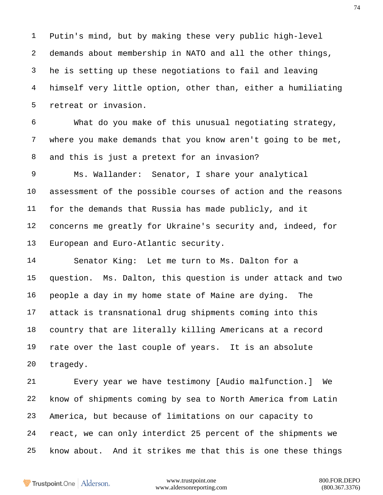Putin's mind, but by making these very public high-level demands about membership in NATO and all the other things, he is setting up these negotiations to fail and leaving himself very little option, other than, either a humiliating retreat or invasion.

 What do you make of this unusual negotiating strategy, where you make demands that you know aren't going to be met, and this is just a pretext for an invasion?

 Ms. Wallander: Senator, I share your analytical assessment of the possible courses of action and the reasons for the demands that Russia has made publicly, and it concerns me greatly for Ukraine's security and, indeed, for European and Euro-Atlantic security.

 Senator King: Let me turn to Ms. Dalton for a question. Ms. Dalton, this question is under attack and two people a day in my home state of Maine are dying. The attack is transnational drug shipments coming into this country that are literally killing Americans at a record rate over the last couple of years. It is an absolute tragedy.

 Every year we have testimony [Audio malfunction.] We know of shipments coming by sea to North America from Latin America, but because of limitations on our capacity to react, we can only interdict 25 percent of the shipments we know about. And it strikes me that this is one these things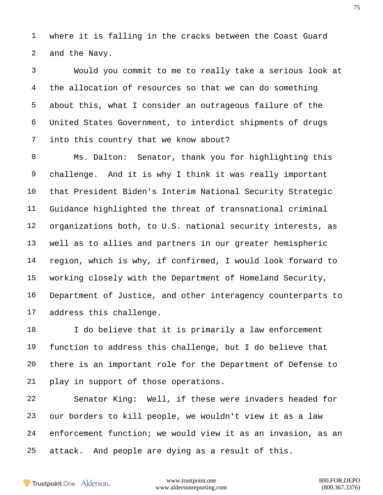where it is falling in the cracks between the Coast Guard and the Navy.

 Would you commit to me to really take a serious look at the allocation of resources so that we can do something about this, what I consider an outrageous failure of the United States Government, to interdict shipments of drugs into this country that we know about?

 Ms. Dalton: Senator, thank you for highlighting this challenge. And it is why I think it was really important that President Biden's Interim National Security Strategic Guidance highlighted the threat of transnational criminal organizations both, to U.S. national security interests, as well as to allies and partners in our greater hemispheric region, which is why, if confirmed, I would look forward to working closely with the Department of Homeland Security, Department of Justice, and other interagency counterparts to address this challenge.

18 I do believe that it is primarily a law enforcement function to address this challenge, but I do believe that there is an important role for the Department of Defense to play in support of those operations.

 Senator King: Well, if these were invaders headed for our borders to kill people, we wouldn't view it as a law enforcement function; we would view it as an invasion, as an attack. And people are dying as a result of this.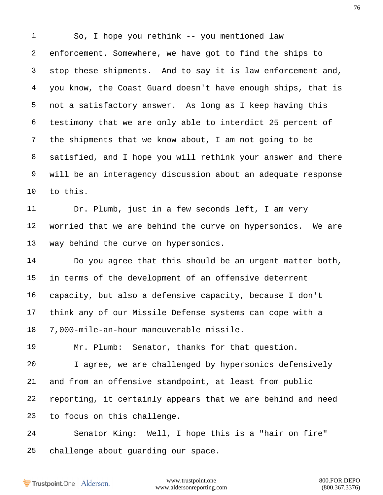So, I hope you rethink -- you mentioned law enforcement. Somewhere, we have got to find the ships to stop these shipments. And to say it is law enforcement and, you know, the Coast Guard doesn't have enough ships, that is not a satisfactory answer. As long as I keep having this testimony that we are only able to interdict 25 percent of the shipments that we know about, I am not going to be satisfied, and I hope you will rethink your answer and there will be an interagency discussion about an adequate response to this.

 Dr. Plumb, just in a few seconds left, I am very worried that we are behind the curve on hypersonics. We are way behind the curve on hypersonics.

 Do you agree that this should be an urgent matter both, in terms of the development of an offensive deterrent capacity, but also a defensive capacity, because I don't think any of our Missile Defense systems can cope with a 7,000-mile-an-hour maneuverable missile.

 Mr. Plumb: Senator, thanks for that question. I agree, we are challenged by hypersonics defensively and from an offensive standpoint, at least from public reporting, it certainly appears that we are behind and need to focus on this challenge.

 Senator King: Well, I hope this is a "hair on fire" challenge about guarding our space.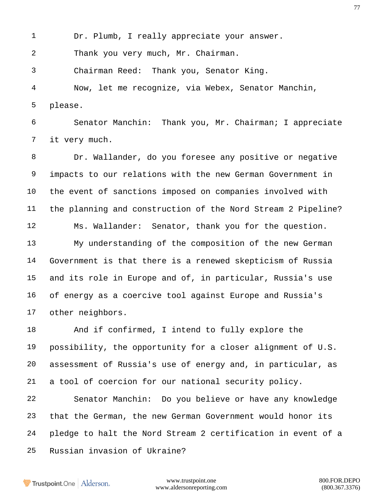Dr. Plumb, I really appreciate your answer.

Thank you very much, Mr. Chairman.

Chairman Reed: Thank you, Senator King.

 Now, let me recognize, via Webex, Senator Manchin, please.

 Senator Manchin: Thank you, Mr. Chairman; I appreciate it very much.

 Dr. Wallander, do you foresee any positive or negative impacts to our relations with the new German Government in the event of sanctions imposed on companies involved with the planning and construction of the Nord Stream 2 Pipeline? Ms. Wallander: Senator, thank you for the question.

 My understanding of the composition of the new German Government is that there is a renewed skepticism of Russia and its role in Europe and of, in particular, Russia's use of energy as a coercive tool against Europe and Russia's other neighbors.

 And if confirmed, I intend to fully explore the possibility, the opportunity for a closer alignment of U.S. assessment of Russia's use of energy and, in particular, as a tool of coercion for our national security policy.

 Senator Manchin: Do you believe or have any knowledge that the German, the new German Government would honor its pledge to halt the Nord Stream 2 certification in event of a Russian invasion of Ukraine?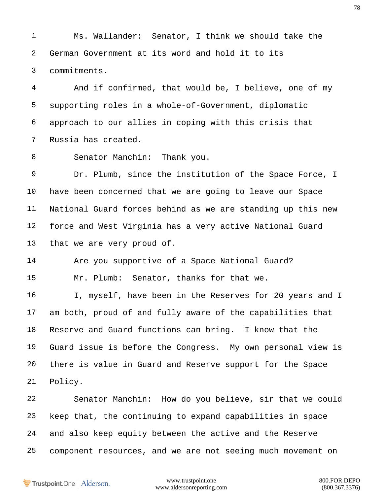Ms. Wallander: Senator, I think we should take the German Government at its word and hold it to its commitments.

 And if confirmed, that would be, I believe, one of my supporting roles in a whole-of-Government, diplomatic approach to our allies in coping with this crisis that Russia has created.

Senator Manchin: Thank you.

 Dr. Plumb, since the institution of the Space Force, I have been concerned that we are going to leave our Space National Guard forces behind as we are standing up this new force and West Virginia has a very active National Guard that we are very proud of.

 Are you supportive of a Space National Guard? Mr. Plumb: Senator, thanks for that we.

 I, myself, have been in the Reserves for 20 years and I am both, proud of and fully aware of the capabilities that Reserve and Guard functions can bring. I know that the Guard issue is before the Congress. My own personal view is there is value in Guard and Reserve support for the Space Policy.

 Senator Manchin: How do you believe, sir that we could keep that, the continuing to expand capabilities in space and also keep equity between the active and the Reserve component resources, and we are not seeing much movement on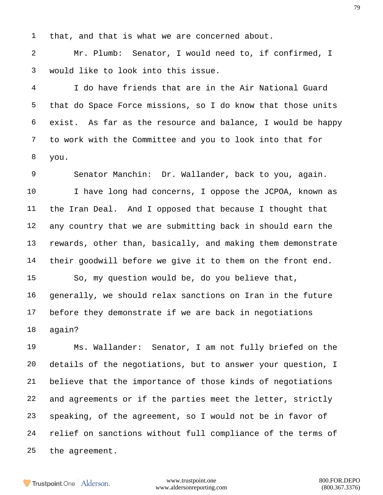that, and that is what we are concerned about.

 Mr. Plumb: Senator, I would need to, if confirmed, I would like to look into this issue.

 I do have friends that are in the Air National Guard that do Space Force missions, so I do know that those units exist. As far as the resource and balance, I would be happy to work with the Committee and you to look into that for you.

 Senator Manchin: Dr. Wallander, back to you, again. I have long had concerns, I oppose the JCPOA, known as the Iran Deal. And I opposed that because I thought that any country that we are submitting back in should earn the rewards, other than, basically, and making them demonstrate their goodwill before we give it to them on the front end. So, my question would be, do you believe that, generally, we should relax sanctions on Iran in the future before they demonstrate if we are back in negotiations

again?

 Ms. Wallander: Senator, I am not fully briefed on the details of the negotiations, but to answer your question, I believe that the importance of those kinds of negotiations and agreements or if the parties meet the letter, strictly speaking, of the agreement, so I would not be in favor of relief on sanctions without full compliance of the terms of the agreement.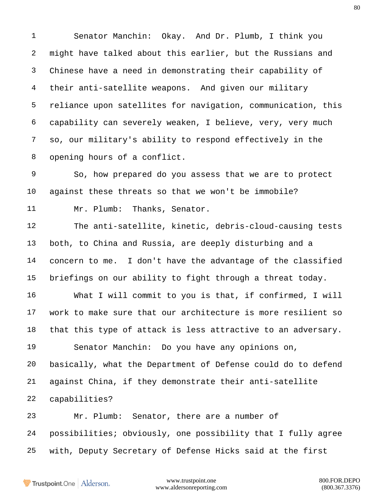Senator Manchin: Okay. And Dr. Plumb, I think you might have talked about this earlier, but the Russians and Chinese have a need in demonstrating their capability of their anti-satellite weapons. And given our military reliance upon satellites for navigation, communication, this capability can severely weaken, I believe, very, very much so, our military's ability to respond effectively in the opening hours of a conflict.

 So, how prepared do you assess that we are to protect against these threats so that we won't be immobile? Mr. Plumb: Thanks, Senator.

 The anti-satellite, kinetic, debris-cloud-causing tests both, to China and Russia, are deeply disturbing and a concern to me. I don't have the advantage of the classified briefings on our ability to fight through a threat today.

 What I will commit to you is that, if confirmed, I will work to make sure that our architecture is more resilient so that this type of attack is less attractive to an adversary.

 Senator Manchin: Do you have any opinions on, basically, what the Department of Defense could do to defend against China, if they demonstrate their anti-satellite capabilities?

 Mr. Plumb: Senator, there are a number of possibilities; obviously, one possibility that I fully agree with, Deputy Secretary of Defense Hicks said at the first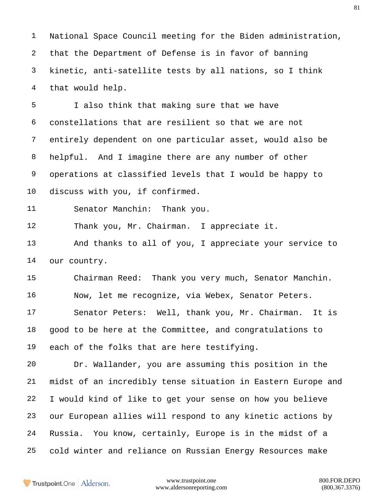National Space Council meeting for the Biden administration, that the Department of Defense is in favor of banning kinetic, anti-satellite tests by all nations, so I think that would help.

 I also think that making sure that we have constellations that are resilient so that we are not entirely dependent on one particular asset, would also be helpful. And I imagine there are any number of other operations at classified levels that I would be happy to discuss with you, if confirmed.

Senator Manchin: Thank you.

Thank you, Mr. Chairman. I appreciate it.

 And thanks to all of you, I appreciate your service to our country.

 Chairman Reed: Thank you very much, Senator Manchin. Now, let me recognize, via Webex, Senator Peters. Senator Peters: Well, thank you, Mr. Chairman. It is good to be here at the Committee, and congratulations to each of the folks that are here testifying.

 Dr. Wallander, you are assuming this position in the midst of an incredibly tense situation in Eastern Europe and I would kind of like to get your sense on how you believe our European allies will respond to any kinetic actions by Russia. You know, certainly, Europe is in the midst of a cold winter and reliance on Russian Energy Resources make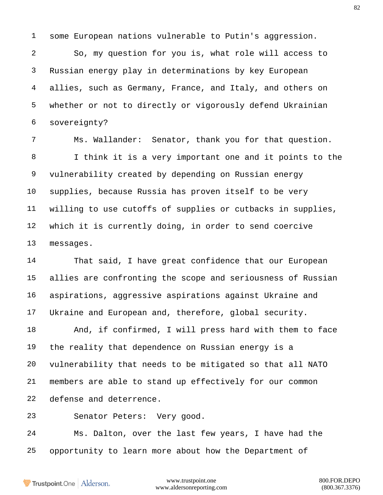some European nations vulnerable to Putin's aggression.

 So, my question for you is, what role will access to Russian energy play in determinations by key European allies, such as Germany, France, and Italy, and others on whether or not to directly or vigorously defend Ukrainian sovereignty?

 Ms. Wallander: Senator, thank you for that question. I think it is a very important one and it points to the vulnerability created by depending on Russian energy supplies, because Russia has proven itself to be very willing to use cutoffs of supplies or cutbacks in supplies, which it is currently doing, in order to send coercive messages.

 That said, I have great confidence that our European allies are confronting the scope and seriousness of Russian aspirations, aggressive aspirations against Ukraine and Ukraine and European and, therefore, global security.

 And, if confirmed, I will press hard with them to face the reality that dependence on Russian energy is a vulnerability that needs to be mitigated so that all NATO members are able to stand up effectively for our common defense and deterrence.

Senator Peters: Very good.

 Ms. Dalton, over the last few years, I have had the opportunity to learn more about how the Department of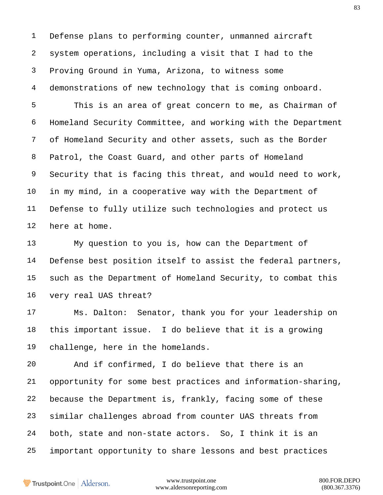Defense plans to performing counter, unmanned aircraft system operations, including a visit that I had to the Proving Ground in Yuma, Arizona, to witness some demonstrations of new technology that is coming onboard.

 This is an area of great concern to me, as Chairman of Homeland Security Committee, and working with the Department of Homeland Security and other assets, such as the Border Patrol, the Coast Guard, and other parts of Homeland Security that is facing this threat, and would need to work, in my mind, in a cooperative way with the Department of Defense to fully utilize such technologies and protect us here at home.

 My question to you is, how can the Department of Defense best position itself to assist the federal partners, such as the Department of Homeland Security, to combat this very real UAS threat?

 Ms. Dalton: Senator, thank you for your leadership on this important issue. I do believe that it is a growing challenge, here in the homelands.

 And if confirmed, I do believe that there is an opportunity for some best practices and information-sharing, because the Department is, frankly, facing some of these similar challenges abroad from counter UAS threats from both, state and non-state actors. So, I think it is an important opportunity to share lessons and best practices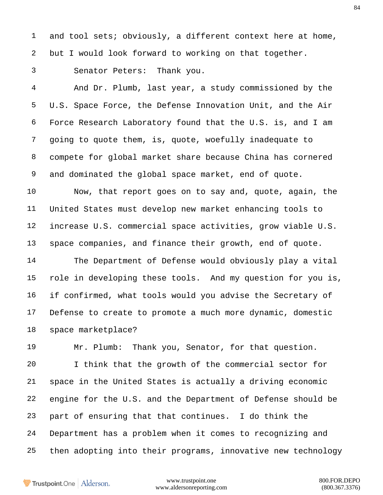and tool sets; obviously, a different context here at home, but I would look forward to working on that together.

Senator Peters: Thank you.

 And Dr. Plumb, last year, a study commissioned by the U.S. Space Force, the Defense Innovation Unit, and the Air Force Research Laboratory found that the U.S. is, and I am going to quote them, is, quote, woefully inadequate to compete for global market share because China has cornered and dominated the global space market, end of quote.

 Now, that report goes on to say and, quote, again, the United States must develop new market enhancing tools to increase U.S. commercial space activities, grow viable U.S. space companies, and finance their growth, end of quote.

 The Department of Defense would obviously play a vital role in developing these tools. And my question for you is, if confirmed, what tools would you advise the Secretary of Defense to create to promote a much more dynamic, domestic space marketplace?

 Mr. Plumb: Thank you, Senator, for that question. I think that the growth of the commercial sector for space in the United States is actually a driving economic engine for the U.S. and the Department of Defense should be part of ensuring that that continues. I do think the Department has a problem when it comes to recognizing and then adopting into their programs, innovative new technology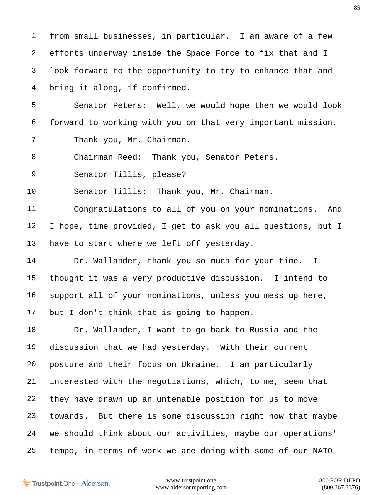from small businesses, in particular. I am aware of a few efforts underway inside the Space Force to fix that and I look forward to the opportunity to try to enhance that and bring it along, if confirmed.

 Senator Peters: Well, we would hope then we would look forward to working with you on that very important mission.

Thank you, Mr. Chairman.

8 Chairman Reed: Thank you, Senator Peters.

Senator Tillis, please?

Senator Tillis: Thank you, Mr. Chairman.

 Congratulations to all of you on your nominations. And I hope, time provided, I get to ask you all questions, but I have to start where we left off yesterday.

14 Dr. Wallander, thank you so much for your time. I thought it was a very productive discussion. I intend to support all of your nominations, unless you mess up here, but I don't think that is going to happen.

 Dr. Wallander, I want to go back to Russia and the discussion that we had yesterday. With their current posture and their focus on Ukraine. I am particularly interested with the negotiations, which, to me, seem that they have drawn up an untenable position for us to move towards. But there is some discussion right now that maybe we should think about our activities, maybe our operations' tempo, in terms of work we are doing with some of our NATO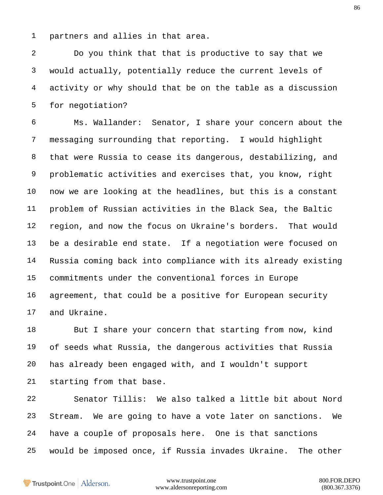partners and allies in that area.

 Do you think that that is productive to say that we would actually, potentially reduce the current levels of activity or why should that be on the table as a discussion for negotiation?

 Ms. Wallander: Senator, I share your concern about the messaging surrounding that reporting. I would highlight that were Russia to cease its dangerous, destabilizing, and problematic activities and exercises that, you know, right now we are looking at the headlines, but this is a constant problem of Russian activities in the Black Sea, the Baltic region, and now the focus on Ukraine's borders. That would be a desirable end state. If a negotiation were focused on Russia coming back into compliance with its already existing commitments under the conventional forces in Europe agreement, that could be a positive for European security and Ukraine.

 But I share your concern that starting from now, kind of seeds what Russia, the dangerous activities that Russia has already been engaged with, and I wouldn't support starting from that base.

 Senator Tillis: We also talked a little bit about Nord Stream. We are going to have a vote later on sanctions. We have a couple of proposals here. One is that sanctions would be imposed once, if Russia invades Ukraine. The other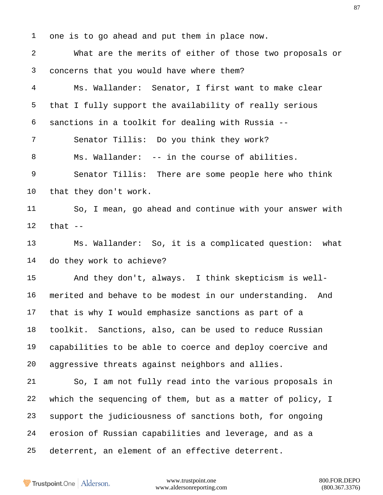one is to go ahead and put them in place now. What are the merits of either of those two proposals or concerns that you would have where them? Ms. Wallander: Senator, I first want to make clear that I fully support the availability of really serious sanctions in a toolkit for dealing with Russia -- Senator Tillis: Do you think they work? Ms. Wallander: -- in the course of abilities. Senator Tillis: There are some people here who think that they don't work. So, I mean, go ahead and continue with your answer with that  $-$  Ms. Wallander: So, it is a complicated question: what do they work to achieve? And they don't, always. I think skepticism is well- merited and behave to be modest in our understanding. And that is why I would emphasize sanctions as part of a toolkit. Sanctions, also, can be used to reduce Russian capabilities to be able to coerce and deploy coercive and aggressive threats against neighbors and allies. So, I am not fully read into the various proposals in which the sequencing of them, but as a matter of policy, I support the judiciousness of sanctions both, for ongoing erosion of Russian capabilities and leverage, and as a deterrent, an element of an effective deterrent.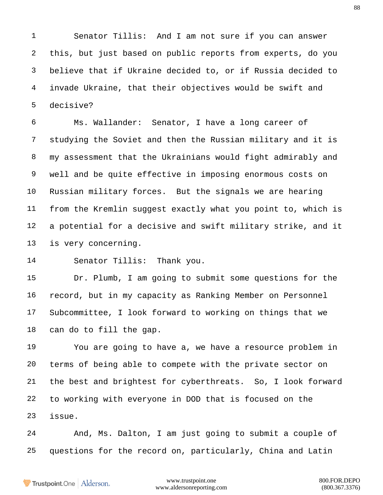Senator Tillis: And I am not sure if you can answer this, but just based on public reports from experts, do you believe that if Ukraine decided to, or if Russia decided to invade Ukraine, that their objectives would be swift and decisive?

 Ms. Wallander: Senator, I have a long career of studying the Soviet and then the Russian military and it is my assessment that the Ukrainians would fight admirably and well and be quite effective in imposing enormous costs on Russian military forces. But the signals we are hearing from the Kremlin suggest exactly what you point to, which is a potential for a decisive and swift military strike, and it is very concerning.

Senator Tillis: Thank you.

 Dr. Plumb, I am going to submit some questions for the record, but in my capacity as Ranking Member on Personnel Subcommittee, I look forward to working on things that we can do to fill the gap.

 You are going to have a, we have a resource problem in terms of being able to compete with the private sector on the best and brightest for cyberthreats. So, I look forward to working with everyone in DOD that is focused on the issue.

 And, Ms. Dalton, I am just going to submit a couple of questions for the record on, particularly, China and Latin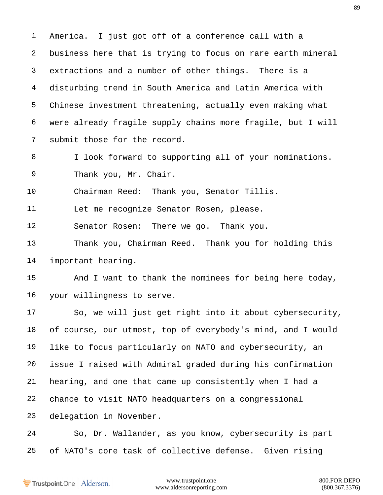America. I just got off of a conference call with a business here that is trying to focus on rare earth mineral extractions and a number of other things. There is a disturbing trend in South America and Latin America with Chinese investment threatening, actually even making what were already fragile supply chains more fragile, but I will submit those for the record.

 I look forward to supporting all of your nominations. Thank you, Mr. Chair.

Chairman Reed: Thank you, Senator Tillis.

Let me recognize Senator Rosen, please.

Senator Rosen: There we go. Thank you.

 Thank you, Chairman Reed. Thank you for holding this important hearing.

15 And I want to thank the nominees for being here today, your willingness to serve.

 So, we will just get right into it about cybersecurity, of course, our utmost, top of everybody's mind, and I would like to focus particularly on NATO and cybersecurity, an issue I raised with Admiral graded during his confirmation hearing, and one that came up consistently when I had a chance to visit NATO headquarters on a congressional delegation in November.

 So, Dr. Wallander, as you know, cybersecurity is part of NATO's core task of collective defense. Given rising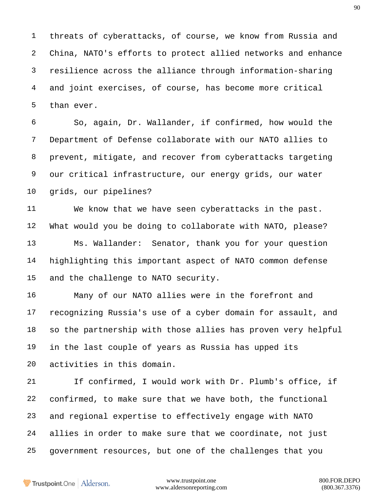threats of cyberattacks, of course, we know from Russia and China, NATO's efforts to protect allied networks and enhance resilience across the alliance through information-sharing and joint exercises, of course, has become more critical than ever.

 So, again, Dr. Wallander, if confirmed, how would the Department of Defense collaborate with our NATO allies to prevent, mitigate, and recover from cyberattacks targeting our critical infrastructure, our energy grids, our water grids, our pipelines?

 We know that we have seen cyberattacks in the past. What would you be doing to collaborate with NATO, please? Ms. Wallander: Senator, thank you for your question highlighting this important aspect of NATO common defense and the challenge to NATO security.

 Many of our NATO allies were in the forefront and recognizing Russia's use of a cyber domain for assault, and so the partnership with those allies has proven very helpful in the last couple of years as Russia has upped its activities in this domain.

 If confirmed, I would work with Dr. Plumb's office, if confirmed, to make sure that we have both, the functional and regional expertise to effectively engage with NATO allies in order to make sure that we coordinate, not just government resources, but one of the challenges that you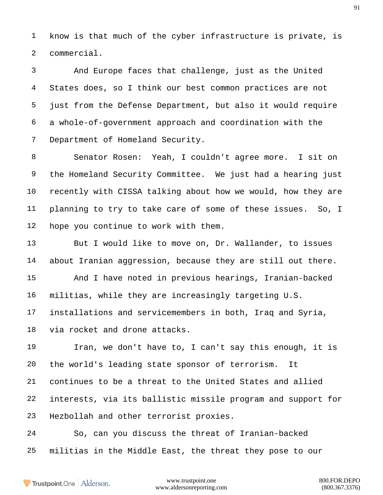know is that much of the cyber infrastructure is private, is commercial.

 And Europe faces that challenge, just as the United States does, so I think our best common practices are not just from the Defense Department, but also it would require a whole-of-government approach and coordination with the Department of Homeland Security.

 Senator Rosen: Yeah, I couldn't agree more. I sit on the Homeland Security Committee. We just had a hearing just recently with CISSA talking about how we would, how they are planning to try to take care of some of these issues. So, I hope you continue to work with them.

 But I would like to move on, Dr. Wallander, to issues about Iranian aggression, because they are still out there. And I have noted in previous hearings, Iranian-backed militias, while they are increasingly targeting U.S. installations and servicemembers in both, Iraq and Syria, via rocket and drone attacks.

 Iran, we don't have to, I can't say this enough, it is the world's leading state sponsor of terrorism. It continues to be a threat to the United States and allied interests, via its ballistic missile program and support for Hezbollah and other terrorist proxies.

 So, can you discuss the threat of Iranian-backed militias in the Middle East, the threat they pose to our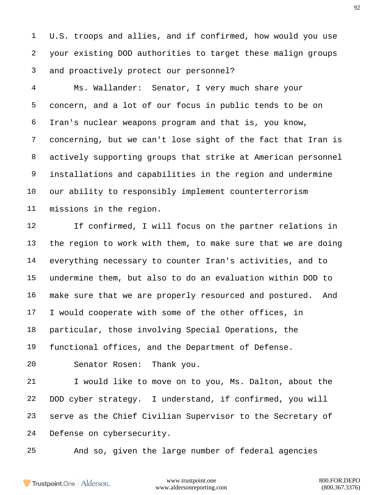U.S. troops and allies, and if confirmed, how would you use your existing DOD authorities to target these malign groups and proactively protect our personnel?

 Ms. Wallander: Senator, I very much share your concern, and a lot of our focus in public tends to be on Iran's nuclear weapons program and that is, you know, concerning, but we can't lose sight of the fact that Iran is actively supporting groups that strike at American personnel installations and capabilities in the region and undermine our ability to responsibly implement counterterrorism missions in the region.

 If confirmed, I will focus on the partner relations in the region to work with them, to make sure that we are doing everything necessary to counter Iran's activities, and to undermine them, but also to do an evaluation within DOD to make sure that we are properly resourced and postured. And I would cooperate with some of the other offices, in particular, those involving Special Operations, the functional offices, and the Department of Defense.

Senator Rosen: Thank you.

 I would like to move on to you, Ms. Dalton, about the DOD cyber strategy. I understand, if confirmed, you will serve as the Chief Civilian Supervisor to the Secretary of Defense on cybersecurity.

And so, given the large number of federal agencies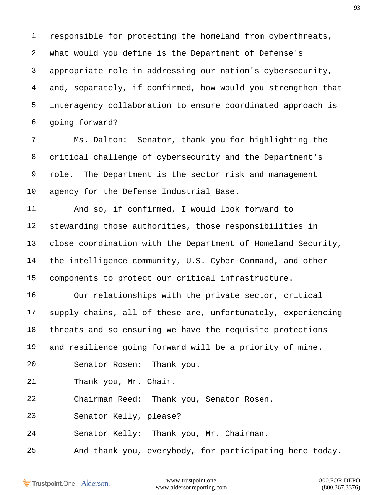responsible for protecting the homeland from cyberthreats, what would you define is the Department of Defense's appropriate role in addressing our nation's cybersecurity, and, separately, if confirmed, how would you strengthen that interagency collaboration to ensure coordinated approach is going forward?

 Ms. Dalton: Senator, thank you for highlighting the critical challenge of cybersecurity and the Department's role. The Department is the sector risk and management agency for the Defense Industrial Base.

 And so, if confirmed, I would look forward to stewarding those authorities, those responsibilities in close coordination with the Department of Homeland Security, the intelligence community, U.S. Cyber Command, and other components to protect our critical infrastructure.

 Our relationships with the private sector, critical supply chains, all of these are, unfortunately, experiencing threats and so ensuring we have the requisite protections and resilience going forward will be a priority of mine.

Senator Rosen: Thank you.

Thank you, Mr. Chair.

Chairman Reed: Thank you, Senator Rosen.

Senator Kelly, please?

Senator Kelly: Thank you, Mr. Chairman.

And thank you, everybody, for participating here today.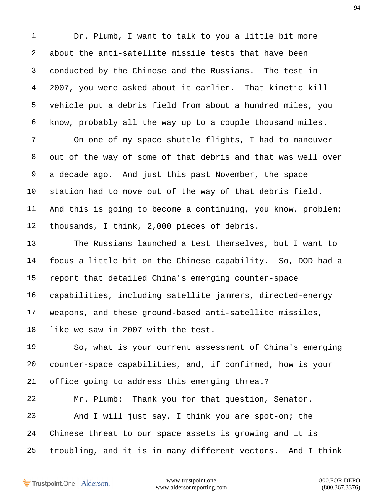Dr. Plumb, I want to talk to you a little bit more about the anti-satellite missile tests that have been conducted by the Chinese and the Russians. The test in 2007, you were asked about it earlier. That kinetic kill vehicle put a debris field from about a hundred miles, you know, probably all the way up to a couple thousand miles. On one of my space shuttle flights, I had to maneuver out of the way of some of that debris and that was well over a decade ago. And just this past November, the space station had to move out of the way of that debris field. And this is going to become a continuing, you know, problem; thousands, I think, 2,000 pieces of debris. The Russians launched a test themselves, but I want to focus a little bit on the Chinese capability. So, DOD had a report that detailed China's emerging counter-space capabilities, including satellite jammers, directed-energy weapons, and these ground-based anti-satellite missiles, like we saw in 2007 with the test. So, what is your current assessment of China's emerging counter-space capabilities, and, if confirmed, how is your office going to address this emerging threat? Mr. Plumb: Thank you for that question, Senator.

 And I will just say, I think you are spot-on; the Chinese threat to our space assets is growing and it is troubling, and it is in many different vectors. And I think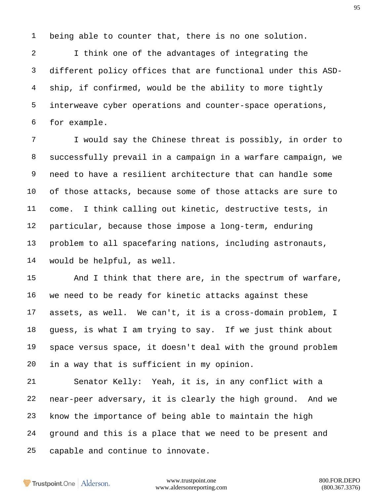being able to counter that, there is no one solution.

 I think one of the advantages of integrating the different policy offices that are functional under this ASD- ship, if confirmed, would be the ability to more tightly interweave cyber operations and counter-space operations, for example.

 I would say the Chinese threat is possibly, in order to successfully prevail in a campaign in a warfare campaign, we need to have a resilient architecture that can handle some of those attacks, because some of those attacks are sure to come. I think calling out kinetic, destructive tests, in particular, because those impose a long-term, enduring problem to all spacefaring nations, including astronauts, would be helpful, as well.

15 And I think that there are, in the spectrum of warfare, we need to be ready for kinetic attacks against these assets, as well. We can't, it is a cross-domain problem, I guess, is what I am trying to say. If we just think about space versus space, it doesn't deal with the ground problem in a way that is sufficient in my opinion.

 Senator Kelly: Yeah, it is, in any conflict with a near-peer adversary, it is clearly the high ground. And we know the importance of being able to maintain the high ground and this is a place that we need to be present and capable and continue to innovate.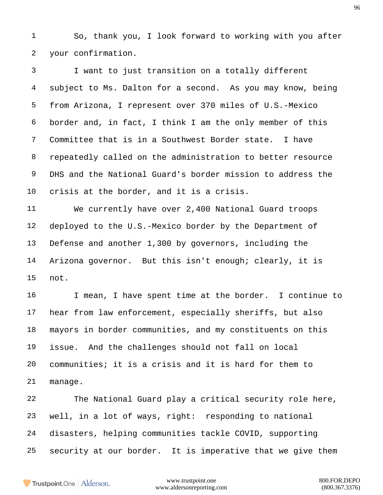So, thank you, I look forward to working with you after your confirmation.

 I want to just transition on a totally different subject to Ms. Dalton for a second. As you may know, being from Arizona, I represent over 370 miles of U.S.-Mexico border and, in fact, I think I am the only member of this Committee that is in a Southwest Border state. I have repeatedly called on the administration to better resource DHS and the National Guard's border mission to address the crisis at the border, and it is a crisis.

 We currently have over 2,400 National Guard troops deployed to the U.S.-Mexico border by the Department of Defense and another 1,300 by governors, including the Arizona governor. But this isn't enough; clearly, it is not.

 I mean, I have spent time at the border. I continue to hear from law enforcement, especially sheriffs, but also mayors in border communities, and my constituents on this issue. And the challenges should not fall on local communities; it is a crisis and it is hard for them to manage.

 The National Guard play a critical security role here, well, in a lot of ways, right: responding to national disasters, helping communities tackle COVID, supporting security at our border. It is imperative that we give them